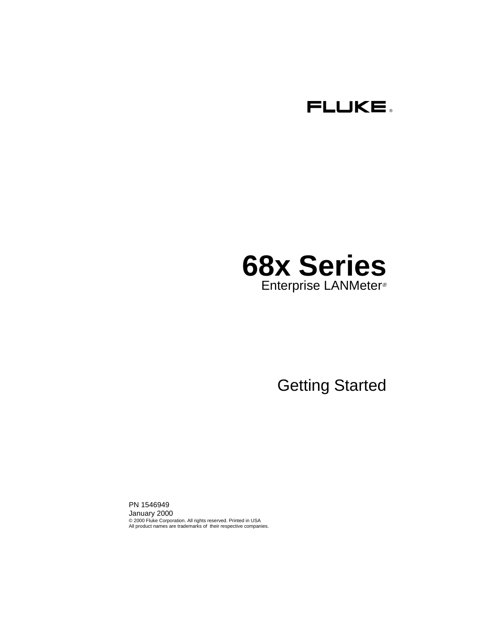

# **68x Series** Enterprise LANMeter®

# Getting Started

PN 1546949 January 2000 © 2000 Fluke Corporation. All rights reserved. Printed in USA All product names are trademarks of their respective companies.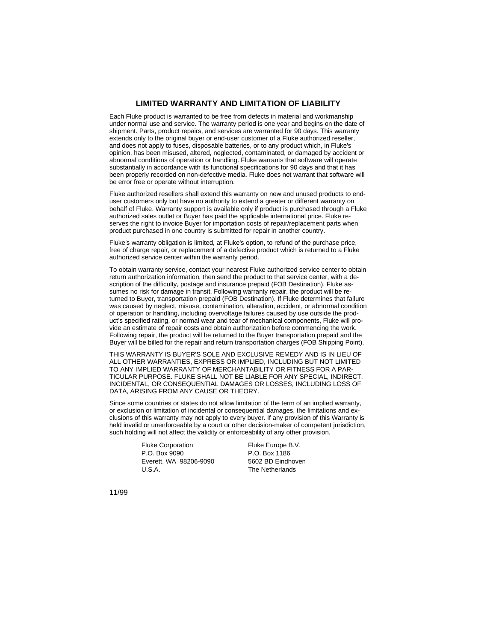#### **LIMITED WARRANTY AND LIMITATION OF LIABILITY**

Each Fluke product is warranted to be free from defects in material and workmanship under normal use and service. The warranty period is one year and begins on the date of shipment. Parts, product repairs, and services are warranted for 90 days. This warranty extends only to the original buyer or end-user customer of a Fluke authorized reseller. and does not apply to fuses, disposable batteries, or to any product which, in Fluke's opinion, has been misused, altered, neglected, contaminated, or damaged by accident or abnormal conditions of operation or handling. Fluke warrants that software will operate substantially in accordance with its functional specifications for 90 days and that it has been properly recorded on non-defective media. Fluke does not warrant that software will be error free or operate without interruption.

Fluke authorized resellers shall extend this warranty on new and unused products to enduser customers only but have no authority to extend a greater or different warranty on behalf of Fluke. Warranty support is available only if product is purchased through a Fluke authorized sales outlet or Buyer has paid the applicable international price. Fluke reserves the right to invoice Buyer for importation costs of repair/replacement parts when product purchased in one country is submitted for repair in another country.

Fluke's warranty obligation is limited, at Fluke's option, to refund of the purchase price, free of charge repair, or replacement of a defective product which is returned to a Fluke authorized service center within the warranty period.

To obtain warranty service, contact your nearest Fluke authorized service center to obtain return authorization information, then send the product to that service center, with a description of the difficulty, postage and insurance prepaid (FOB Destination). Fluke assumes no risk for damage in transit. Following warranty repair, the product will be returned to Buyer, transportation prepaid (FOB Destination). If Fluke determines that failure was caused by neglect, misuse, contamination, alteration, accident, or abnormal condition of operation or handling, including overvoltage failures caused by use outside the product's specified rating, or normal wear and tear of mechanical components, Fluke will provide an estimate of repair costs and obtain authorization before commencing the work. Following repair, the product will be returned to the Buyer transportation prepaid and the Buyer will be billed for the repair and return transportation charges (FOB Shipping Point).

THIS WARRANTY IS BUYER'S SOLE AND EXCLUSIVE REMEDY AND IS IN LIEU OF ALL OTHER WARRANTIES, EXPRESS OR IMPLIED, INCLUDING BUT NOT LIMITED TO ANY IMPLIED WARRANTY OF MERCHANTABILITY OR FITNESS FOR A PAR-TICULAR PURPOSE. FLUKE SHALL NOT BE LIABLE FOR ANY SPECIAL, INDIRECT, INCIDENTAL, OR CONSEQUENTIAL DAMAGES OR LOSSES, INCLUDING LOSS OF DATA, ARISING FROM ANY CAUSE OR THEORY.

Since some countries or states do not allow limitation of the term of an implied warranty, or exclusion or limitation of incidental or consequential damages, the limitations and exclusions of this warranty may not apply to every buyer. If any provision of this Warranty is held invalid or unenforceable by a court or other decision-maker of competent jurisdiction, such holding will not affect the validity or enforceability of any other provision.

> Fluke Corporation P.O. Box 9090 Everett, WA 98206-9090 U.S.A.

Fluke Europe B.V. P.O. Box 1186 5602 BD Eindhoven The Netherlands

11/99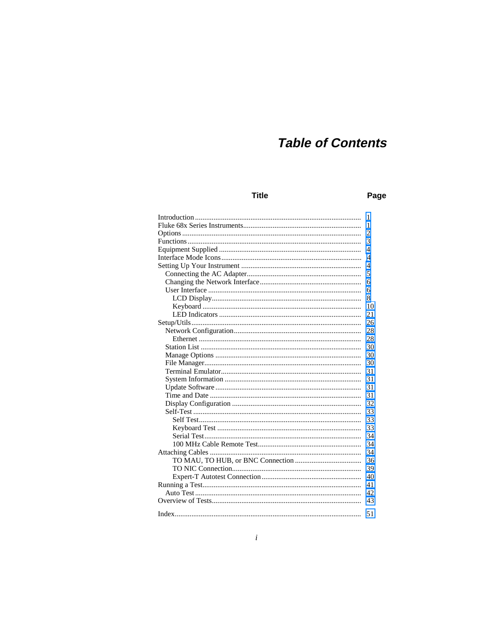# **Table of Contents**

## **Title**

#### Page

| 1    |
|------|
| 1    |
| 2    |
| 3    |
| 4    |
| 4    |
| 4    |
| 5    |
| 6    |
| 6    |
| 8    |
| 10   |
| 21   |
| 26   |
| 28   |
| 28   |
| 30   |
| 30   |
| 30   |
| 31   |
| 31   |
| 31   |
| 31   |
| 32   |
| 33   |
| 33   |
| 33   |
| 34   |
| 34   |
| 34   |
| 36   |
| 39   |
| 40   |
| 41   |
| 42   |
| 43   |
|      |
| - 51 |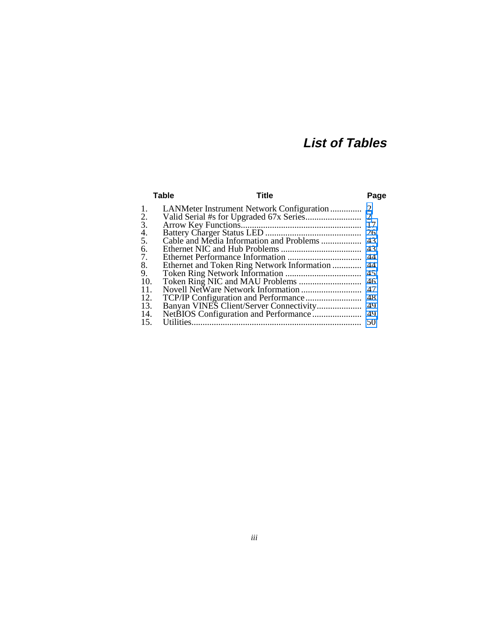# **List of Tables**

|                  | <b>Table</b> | Title                                           | Page |
|------------------|--------------|-------------------------------------------------|------|
| 1.               |              |                                                 |      |
| $rac{2}{3}$ .    |              |                                                 |      |
|                  |              |                                                 |      |
|                  |              |                                                 |      |
| $rac{4}{5}$ .    |              |                                                 |      |
| 6.               |              |                                                 |      |
| $\overline{7}$ . |              |                                                 |      |
| 8.               |              | Ethernet and Token Ring Network Information  44 |      |
| $\overline{9}$ . |              |                                                 |      |
| 10.              |              |                                                 |      |
| 11.              |              |                                                 | 47   |
| 12.              |              |                                                 | -48  |
| 13.              |              |                                                 |      |
| 14.              |              |                                                 |      |
| 15.              |              |                                                 | 50   |
|                  |              |                                                 |      |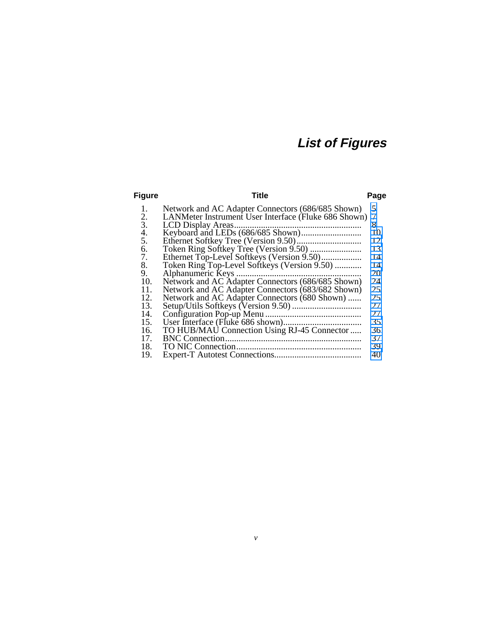# **List of Figures**

| Figure | Title                                                | Page |
|--------|------------------------------------------------------|------|
| 1.     | Network and AC Adapter Connectors (686/685 Shown)    | 5    |
| 2.     | LANMeter Instrument User Interface (Fluke 686 Shown) | 7    |
| 3.     |                                                      | 8    |
| 4.     |                                                      | 10   |
| 5.     |                                                      | 12   |
| 6.     |                                                      | 13   |
| 7.     | Ethernet Top-Level Softkeys (Version 9.50)           | 14   |
| 8.     | Token Ring Top-Level Softkeys (Version 9.50)         | 14   |
| 9.     |                                                      | 20   |
| 10.    | Network and AC Adapter Connectors (686/685 Shown)    | 24   |
| 11.    | Network and AC Adapter Connectors (683/682 Shown)    | 25   |
| 12.    | Network and AC Adapter Connectors (680 Shown)        | 25   |
| 13.    |                                                      | 27   |
| 14.    |                                                      | 27   |
| 15.    |                                                      | 35   |
| 16.    | TO HUB/MAU Connection Using RJ-45 Connector          | 36   |
| 17.    |                                                      | 37   |
| 18.    |                                                      | 39   |
| 19.    |                                                      | 40   |
|        |                                                      |      |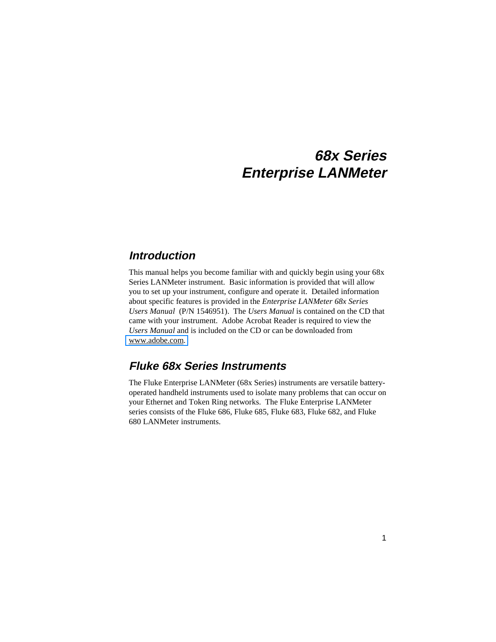# **68x Series Enterprise LANMeter**

# <span id="page-8-0"></span>**Introduction**

This manual helps you become familiar with and quickly begin using your 68x Series LANMeter instrument. Basic information is provided that will allow you to set up your instrument, configure and operate it. Detailed information about specific features is provided in the *Enterprise LANMeter 68x Series Users Manual* (P/N 1546951). The *Users Manual* is contained on the CD that came with your instrument. Adobe Acrobat Reader is required to view the *Users Manual* and is included on the CD or can be downloaded from [www.adobe.com.](http://www.adobe.com)

# **Fluke 68x Series Instruments**

The Fluke Enterprise LANMeter (68x Series) instruments are versatile batteryoperated handheld instruments used to isolate many problems that can occur on your Ethernet and Token Ring networks. The Fluke Enterprise LANMeter series consists of the Fluke 686, Fluke 685, Fluke 683, Fluke 682, and Fluke 680 LANMeter instruments.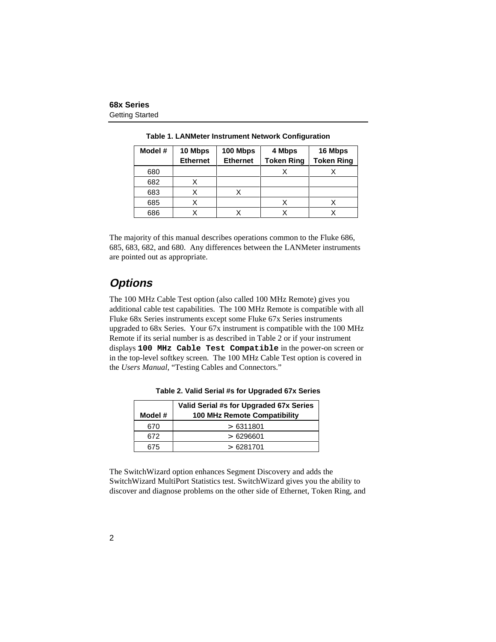<span id="page-9-0"></span>

| Model # | 10 Mbps<br><b>Ethernet</b> | 100 Mbps<br><b>Ethernet</b> | 4 Mbps<br><b>Token Ring</b> | 16 Mbps<br><b>Token Ring</b> |
|---------|----------------------------|-----------------------------|-----------------------------|------------------------------|
| 680     |                            |                             |                             |                              |
| 682     |                            |                             |                             |                              |
| 683     |                            |                             |                             |                              |
| 685     |                            |                             |                             |                              |
| 686     |                            |                             |                             |                              |

**Table 1. LANMeter Instrument Network Configuration**

The majority of this manual describes operations common to the Fluke 686, 685, 683, 682, and 680. Any differences between the LANMeter instruments are pointed out as appropriate.

# **Options**

The 100 MHz Cable Test option (also called 100 MHz Remote) gives you additional cable test capabilities. The 100 MHz Remote is compatible with all Fluke 68x Series instruments except some Fluke 67x Series instruments upgraded to 68x Series. Your 67x instrument is compatible with the 100 MHz Remote if its serial number is as described in Table 2 or if your instrument displays **100 MHz Cable Test Compatible** in the power-on screen or in the top-level softkey screen. The 100 MHz Cable Test option is covered in the *Users Manual*, "Testing Cables and Connectors."

| Model # | Valid Serial #s for Upgraded 67x Series<br>100 MHz Remote Compatibility |
|---------|-------------------------------------------------------------------------|
| 670     | >6311801                                                                |
| 672.    | >6296601                                                                |
| 675     | > 6281701                                                               |

**Table 2. Valid Serial #s for Upgraded 67x Series**

The SwitchWizard option enhances Segment Discovery and adds the SwitchWizard MultiPort Statistics test. SwitchWizard gives you the ability to discover and diagnose problems on the other side of Ethernet, Token Ring, and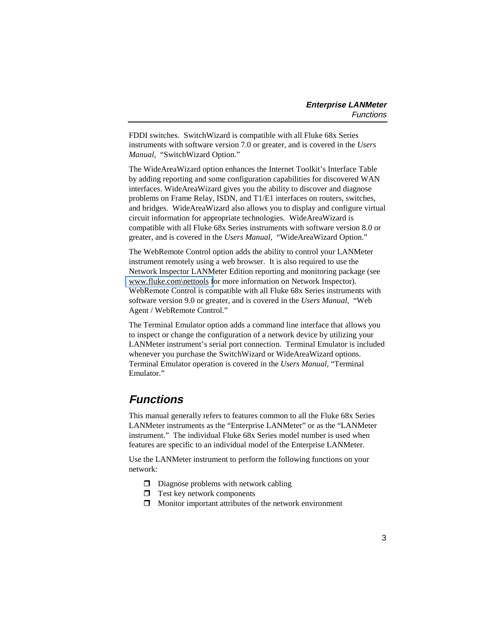<span id="page-10-0"></span>FDDI switches. SwitchWizard is compatible with all Fluke 68x Series instruments with software version 7.0 or greater, and is covered in the *Users Manual*, "SwitchWizard Option."

The WideAreaWizard option enhances the Internet Toolkit's Interface Table by adding reporting and some configuration capabilities for discovered WAN interfaces. WideAreaWizard gives you the ability to discover and diagnose problems on Frame Relay, ISDN, and T1/E1 interfaces on routers, switches, and bridges. WideAreaWizard also allows you to display and configure virtual circuit information for appropriate technologies. WideAreaWizard is compatible with all Fluke 68x Series instruments with software version 8.0 or greater, and is covered in the *Users Manual,* "WideAreaWizard Option."

The WebRemote Control option adds the ability to control your LANMeter instrument remotely using a web browser. It is also required to use the Network Inspector LANMeter Edition reporting and monitoring package (see [www.fluke.com\nettools f](http://www.fluke.com/nettools)or more information on Network Inspector). WebRemote Control is compatible with all Fluke 68x Series instruments with software version 9.0 or greater, and is covered in the *Users Manual*, "Web Agent / WebRemote Control."

The Terminal Emulator option adds a command line interface that allows you to inspect or change the configuration of a network device by utilizing your LANMeter instrument's serial port connection. Terminal Emulator is included whenever you purchase the SwitchWizard or WideAreaWizard options. Terminal Emulator operation is covered in the *Users Manual*, "Terminal Emulator."

# **Functions**

This manual generally refers to features common to all the Fluke 68x Series LANMeter instruments as the "Enterprise LANMeter" or as the "LANMeter instrument." The individual Fluke 68x Series model number is used when features are specific to an individual model of the Enterprise LANMeter.

Use the LANMeter instrument to perform the following functions on your network:

- $\Box$  Diagnose problems with network cabling
- $\Box$  Test key network components
- $\Box$  Monitor important attributes of the network environment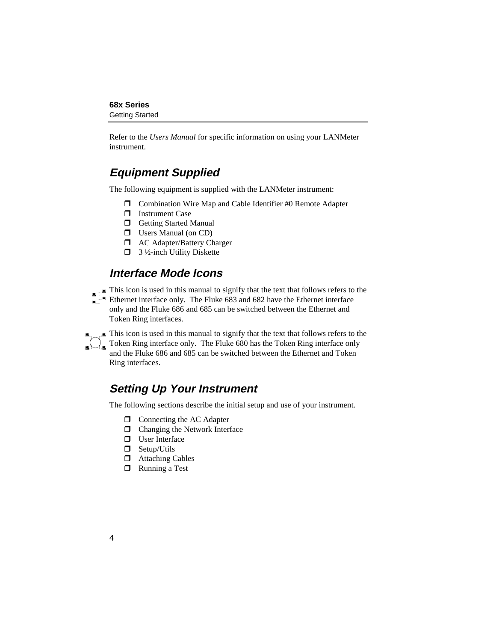<span id="page-11-0"></span>Refer to the *Users Manual* for specific information on using your LANMeter instrument.

# **Equipment Supplied**

The following equipment is supplied with the LANMeter instrument:

- $\Box$  Combination Wire Map and Cable Identifier #0 Remote Adapter
- $\Box$  Instrument Case
- $\Box$  Getting Started Manual
- $\Box$  Users Manual (on CD)
- $\Box$  AC Adapter/Battery Charger
- $\Box$  3 ½-inch Utility Diskette

# **Interface Mode Icons**

This icon is used in this manual to signify that the text that follows refers to the Ethernet interface only. The Fluke 683 and 682 have the Ethernet interface only and the Fluke 686 and 685 can be switched between the Ethernet and Token Ring interfaces.

 $\blacksquare$  This icon is used in this manual to signify that the text that follows refers to the Token Ring interface only. The Fluke 680 has the Token Ring interface only and the Fluke 686 and 685 can be switched between the Ethernet and Token Ring interfaces.

# **Setting Up Your Instrument**

The following sections describe the initial setup and use of your instrument.

- $\Box$  Connecting the AC Adapter
- $\Box$  Changing the Network Interface
- $\Box$  User Interface
- $\Box$  Setup/Utils
- $\Box$  Attaching Cables
- $\Box$  Running a Test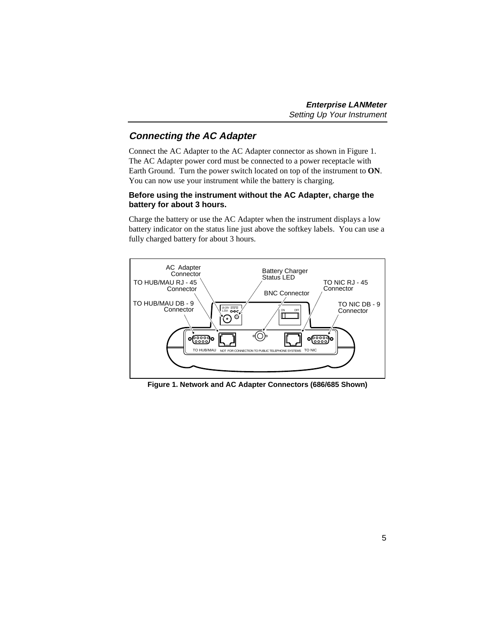# <span id="page-12-0"></span>**Connecting the AC Adapter**

Connect the AC Adapter to the AC Adapter connector as shown in Figure 1. The AC Adapter power cord must be connected to a power receptacle with Earth Ground. Turn the power switch located on top of the instrument to **ON**. You can now use your instrument while the battery is charging.

#### **Before using the instrument without the AC Adapter, charge the battery for about 3 hours.**

Charge the battery or use the AC Adapter when the instrument displays a low battery indicator on the status line just above the softkey labels. You can use a fully charged battery for about 3 hours.



**Figure 1. Network and AC Adapter Connectors (686/685 Shown)**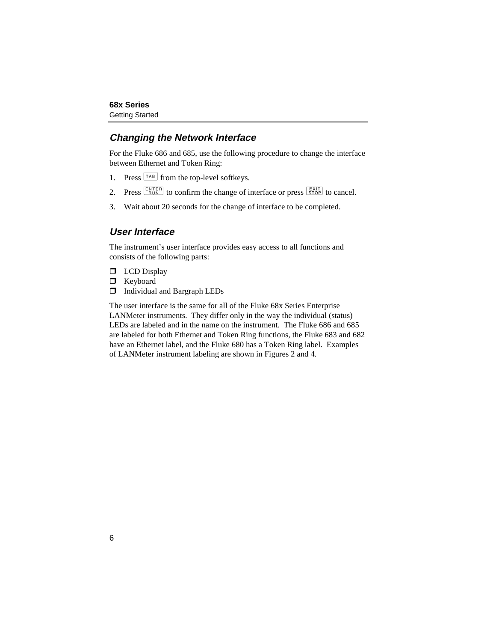# <span id="page-13-0"></span>**Changing the Network Interface**

For the Fluke 686 and 685, use the following procedure to change the interface between Ethernet and Token Ring:

- 1. Press  $\left[\frac{TAB}{TAB}\right]$  from the top-level softkeys.
- 2. Press  $\frac{\text{ENTER}}{\text{Run}}$  to confirm the change of interface or press  $\frac{\text{Exit}}{\text{STOP}}$  to cancel.
- 3. Wait about 20 seconds for the change of interface to be completed.

# **User Interface**

The instrument's user interface provides easy access to all functions and consists of the following parts:

- $\Box$  LCD Display
- $\Box$  Keyboard
- $\Box$  Individual and Bargraph LEDs

The user interface is the same for all of the Fluke 68x Series Enterprise LANMeter instruments. They differ only in the way the individual (status) LEDs are labeled and in the name on the instrument. The Fluke 686 and 685 are labeled for both Ethernet and Token Ring functions, the Fluke 683 and 682 have an Ethernet label, and the Fluke 680 has a Token Ring label. Examples of LANMeter instrument labeling are shown in Figures 2 and 4.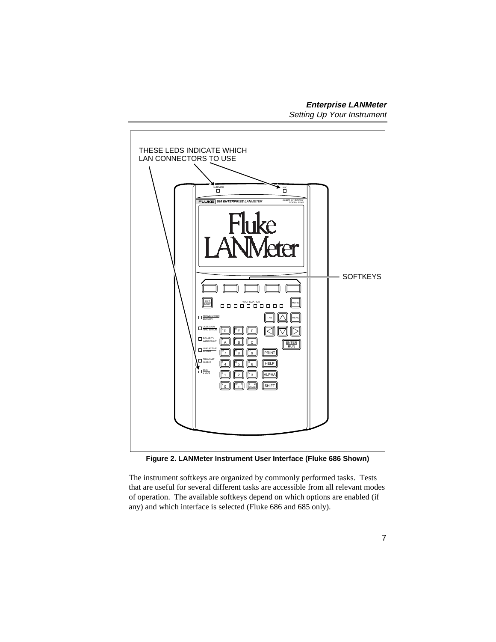<span id="page-14-0"></span>

**Figure 2. LANMeter Instrument User Interface (Fluke 686 Shown)**

The instrument softkeys are organized by commonly performed tasks. Tests that are useful for several different tasks are accessible from all relevant modes of operation. The available softkeys depend on which options are enabled (if any) and which interface is selected (Fluke 686 and 685 only).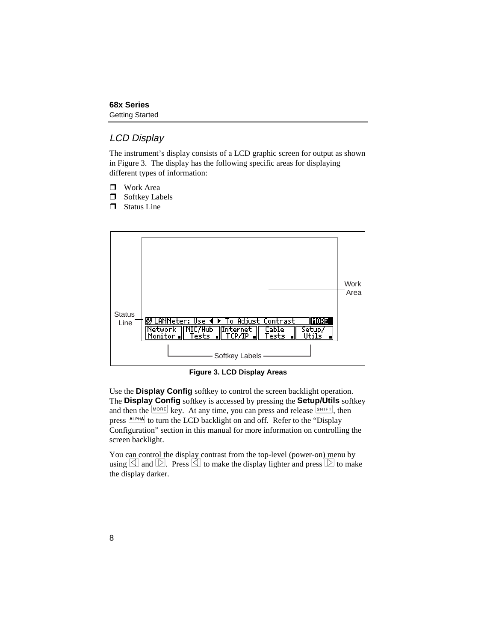# <span id="page-15-0"></span>LCD Display

The instrument's display consists of a LCD graphic screen for output as shown in Figure 3. The display has the following specific areas for displaying different types of information:

- $\Box$  Work Area
- $\Box$  Softkey Labels
- $\Box$  Status Line



**Figure 3. LCD Display Areas**

Use the **Display Config** softkey to control the screen backlight operation. The **Display Config** softkey is accessed by pressing the **Setup/Utils** softkey and then the  $\frac{|\text{MORE}|}{|\text{AER}|}$  key. At any time, you can press and release  $\frac{|\text{SHIFT}|}{|\text{BHHT}|}$ , then press  $\frac{A L P H A}{B}$  to turn the LCD backlight on and off. Refer to the "Display" Configuration" section in this manual for more information on controlling the screen backlight.

You can control the display contrast from the top-level (power-on) menu by using  $\Box$  and  $\Box$ . Press  $\Box$  to make the display lighter and press  $\Box$  to make the display darker.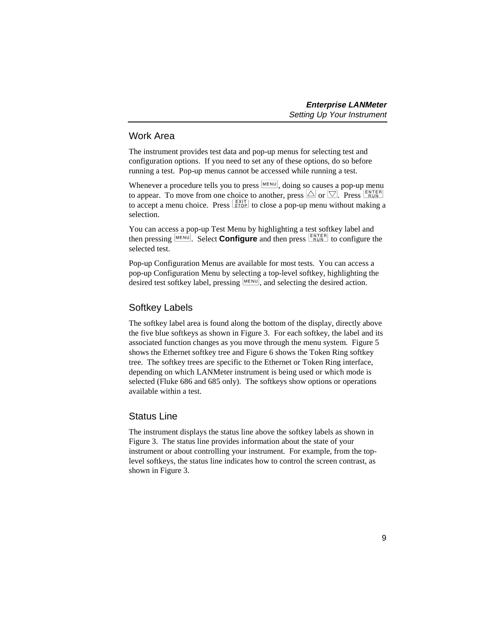# <span id="page-16-0"></span>Work Area

The instrument provides test data and pop-up menus for selecting test and configuration options. If you need to set any of these options, do so before running a test. Pop-up menus cannot be accessed while running a test.

Whenever a procedure tells you to press  $(MENU)$ , doing so causes a pop-up menu to appear. To move from one choice to another, press  $\triangle$  or  $\triangledown$ . Press  $\overline{\triangle}$  RUN to accept a menu choice. Press  $\frac{[E X | T]}{[S T]}$  to close a pop-up menu without making a selection.

You can access a pop-up Test Menu by highlighting a test softkey label and then pressing  $\frac{\text{MENU}}{\text{EUV}}$ . Select **Configure** and then press  $\frac{\text{ENTER}}{\text{RUN}}$  to configure the selected test.

Pop-up Configuration Menus are available for most tests. You can access a pop-up Configuration Menu by selecting a top-level softkey, highlighting the desired test softkey label, pressing  $\mathbb{M}^{\text{ENU}}$ , and selecting the desired action.

# Softkey Labels

The softkey label area is found along the bottom of the display, directly above the five blue softkeys as shown in Figure 3. For each softkey, the label and its associated function changes as you move through the menu system. Figure 5 shows the Ethernet softkey tree and Figure 6 shows the Token Ring softkey tree. The softkey trees are specific to the Ethernet or Token Ring interface, depending on which LANMeter instrument is being used or which mode is selected (Fluke 686 and 685 only). The softkeys show options or operations available within a test.

# Status Line

The instrument displays the status line above the softkey labels as shown in Figure 3. The status line provides information about the state of your instrument or about controlling your instrument. For example, from the toplevel softkeys, the status line indicates how to control the screen contrast, as shown in Figure 3.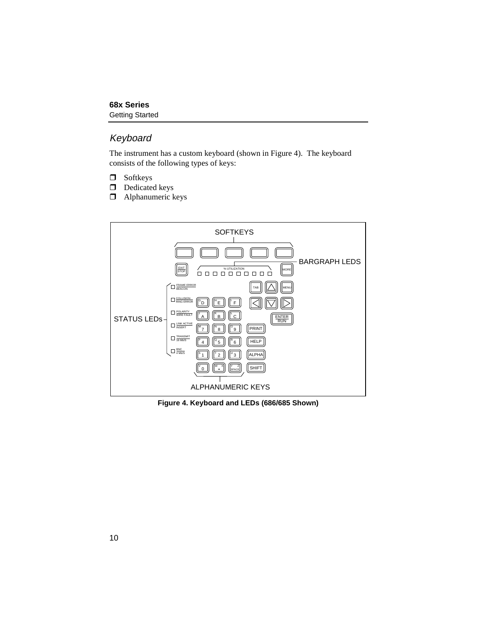# <span id="page-17-0"></span>Keyboard

The instrument has a custom keyboard (shown in Figure 4). The keyboard consists of the following types of keys:

- $\Box$  Softkeys
- $\Box$  Dedicated keys
- $\Box$  Alphanumeric keys



**Figure 4. Keyboard and LEDs (686/685 Shown)**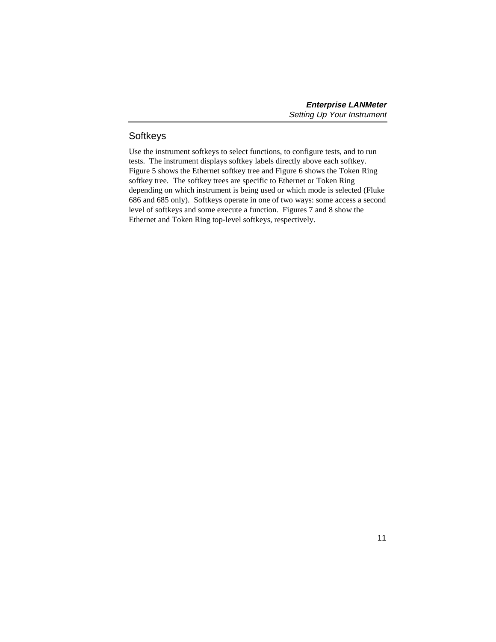## <span id="page-18-0"></span>**Softkeys**

Use the instrument softkeys to select functions, to configure tests, and to run tests. The instrument displays softkey labels directly above each softkey. Figure 5 shows the Ethernet softkey tree and Figure 6 shows the Token Ring softkey tree. The softkey trees are specific to Ethernet or Token Ring depending on which instrument is being used or which mode is selected (Fluke 686 and 685 only). Softkeys operate in one of two ways: some access a second level of softkeys and some execute a function. Figures 7 and 8 show the Ethernet and Token Ring top-level softkeys, respectively.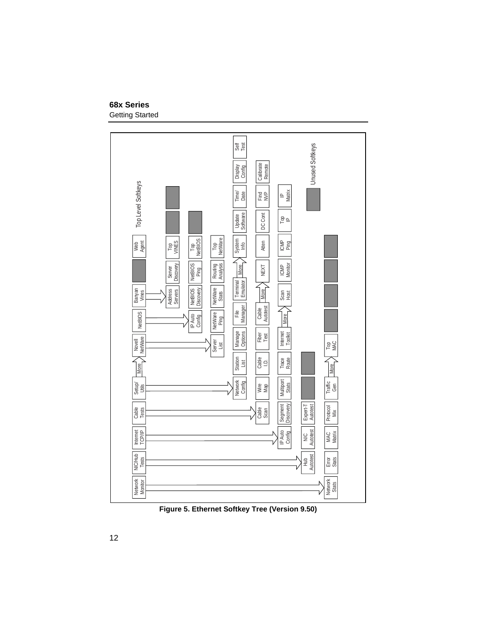#### <span id="page-19-0"></span>**68x Series** Getting Started



**Figure 5. Ethernet Softkey Tree (Version 9.50)**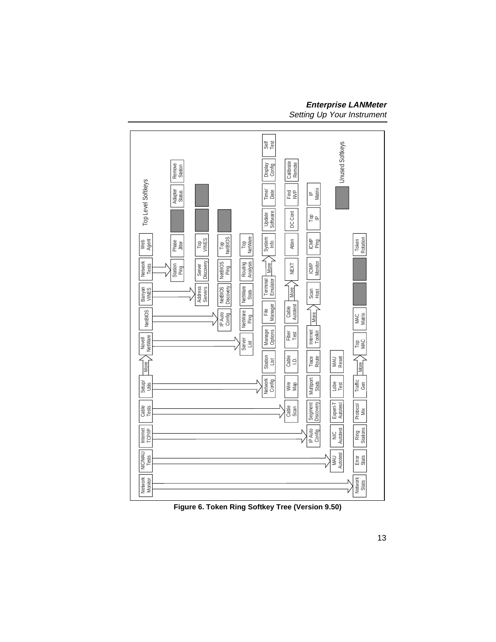<span id="page-20-0"></span>

**Figure 6. Token Ring Softkey Tree (Version 9.50)**

# **Enterprise LANMeter**

Setting Up Your Instrument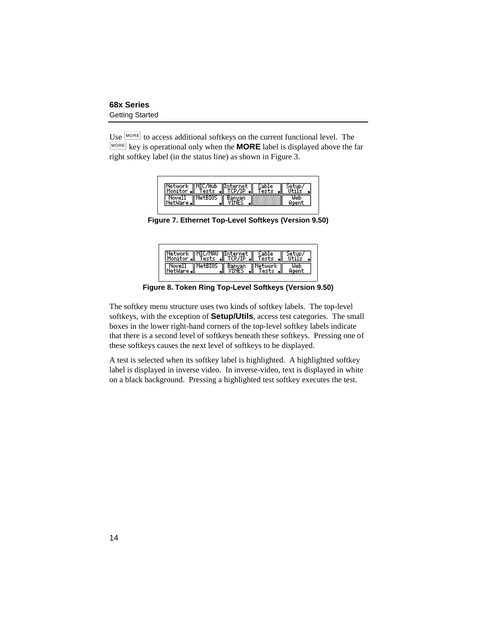<span id="page-21-0"></span>Use  $\vert$ <sup>MORE</sup> to access additional softkeys on the current functional level. The E key is operational only when the **MORE** label is displayed above the far right softkey label (in the status line) as shown in Figure 3.

| Network NIC/Hub Internet<br>Monitor Tests   TCP/IP |                |        | Tests |  |
|----------------------------------------------------|----------------|--------|-------|--|
| Nove11                                             | <b>NetBIOS</b> |        |       |  |
| tilare il                                          |                | Banyan |       |  |

**Figure 7. Ethernet Top-Level Softkeys (Version 9.50)**

| Network   NIC/MAU   Internet    Cable    Setup/<br> Monitor    Tests    TCP/IP    Tests    Utils |  |  |
|--------------------------------------------------------------------------------------------------|--|--|
| Novell NetBIOS Banyan Network                                                                    |  |  |

**Figure 8. Token Ring Top-Level Softkeys (Version 9.50)**

The softkey menu structure uses two kinds of softkey labels. The top-level softkeys, with the exception of **Setup/Utils**, access test categories. The small boxes in the lower right-hand corners of the top-level softkey labels indicate that there is a second level of softkeys beneath these softkeys. Pressing one of these softkeys causes the next level of softkeys to be displayed.

A test is selected when its softkey label is highlighted. A highlighted softkey label is displayed in inverse video. In inverse-video, text is displayed in white on a black background. Pressing a highlighted test softkey executes the test.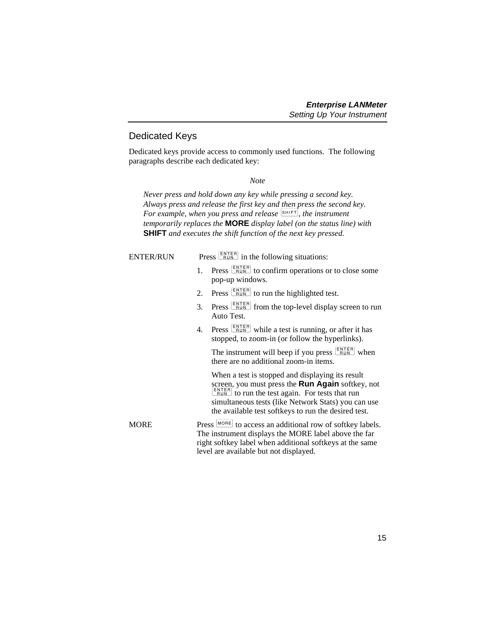### <span id="page-22-0"></span>Dedicated Keys

Dedicated keys provide access to commonly used functions. The following paragraphs describe each dedicated key:

#### *Note*

*Never press and hold down any key while pressing a second key. Always press and release the first key and then press the second key. For example, when you press and release* **SHIFT**, the instrument *temporarily replaces the* **MORE** *display label (on the status line) with* **SHIFT** *and executes the shift function of the next key pressed.*

| <b>ENTER/RUN</b> |    | Press $\sqrt{\frac{\text{ENTER}}{\text{RUN}}}$ in the following situations:                                                                                                                                                                                                                         |
|------------------|----|-----------------------------------------------------------------------------------------------------------------------------------------------------------------------------------------------------------------------------------------------------------------------------------------------------|
|                  | 1. | Press <b>ENTER</b> to confirm operations or to close some<br>pop-up windows.                                                                                                                                                                                                                        |
|                  | 2. | Press $\frac{\text{ENTER}}{\text{Run}}$ to run the highlighted test.                                                                                                                                                                                                                                |
|                  | 3. | Press <b>ENTER</b> from the top-level display screen to run<br>Auto Test.                                                                                                                                                                                                                           |
|                  | 4. | Press $\frac{\text{ENTER}}{\text{Run}}$ while a test is running, or after it has<br>stopped, to zoom-in (or follow the hyperlinks).                                                                                                                                                                 |
|                  |    | The instrument will beep if you press $\frac{\text{ENTER}}{\text{RUN}}$ when<br>there are no additional zoom-in items.                                                                                                                                                                              |
|                  |    | When a test is stopped and displaying its result<br>screen, you must press the Run Again softkey, not<br>$\frac{\text{ENTER}}{\text{RUN}}$ to run the test again. For tests that run<br>simultaneous tests (like Network Stats) you can use<br>the available test softkeys to run the desired test. |
| <b>MORE</b>      |    | Press MORE to access an additional row of softkey labels.<br>The instrument displays the MORE label above the far<br>right softkey label when additional softkeys at the same<br>level are available but not displayed.                                                                             |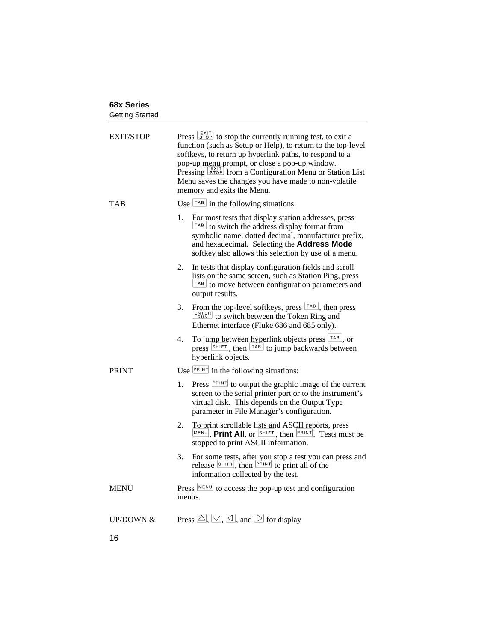<span id="page-23-0"></span>

| <b>EXIT/STOP</b>     | Press $\frac{[EX T }{\text{STOP}}$ to stop the currently running test, to exit a<br>function (such as Setup or Help), to return to the top-level<br>softkeys, to return up hyperlink paths, to respond to a<br>pop-up menu prompt, or close a pop-up window.<br>Pressing <b>STOP</b> from a Configuration Menu or Station List<br>Menu saves the changes you have made to non-volatile<br>memory and exits the Menu. |
|----------------------|----------------------------------------------------------------------------------------------------------------------------------------------------------------------------------------------------------------------------------------------------------------------------------------------------------------------------------------------------------------------------------------------------------------------|
| TAB                  | Use $\boxed{\text{TAB}}$ in the following situations:                                                                                                                                                                                                                                                                                                                                                                |
|                      | 1.<br>For most tests that display station addresses, press<br>$TAB$ to switch the address display format from<br>symbolic name, dotted decimal, manufacturer prefix,<br>and hexadecimal. Selecting the Address Mode<br>softkey also allows this selection by use of a menu.                                                                                                                                          |
|                      | In tests that display configuration fields and scroll<br>2.<br>lists on the same screen, such as Station Ping, press<br>$TAB$ to move between configuration parameters and<br>output results.                                                                                                                                                                                                                        |
|                      | From the top-level softkeys, press $\left  \frac{\text{rad}}{\text{rad}} \right $ , then press<br>3.<br>$\frac{\text{ENTER}}{\text{Run}}$ to switch between the Token Ring and<br>Ethernet interface (Fluke 686 and 685 only).                                                                                                                                                                                       |
|                      | To jump between hyperlink objects press $\left[\frac{TAB}{rAB}\right]$ , or<br>4.<br>press $\frac{\left[\text{SHIFT}\right]}{\left[\text{HHH}\right]}$ , then $\frac{\left[\text{TAB}\right]}{\left[\text{TAB}\right]}$ to jump backwards between<br>hyperlink objects.                                                                                                                                              |
| <b>PRINT</b>         | Use $\sqrt{PRINT}$ in the following situations:                                                                                                                                                                                                                                                                                                                                                                      |
|                      | Press <b>PRINT</b> to output the graphic image of the current<br>1.<br>screen to the serial printer port or to the instrument's<br>virtual disk. This depends on the Output Type<br>parameter in File Manager's configuration.                                                                                                                                                                                       |
|                      | 2.<br>To print scrollable lists and ASCII reports, press<br>$\frac{MENU}{N}$ , Print All, or $\frac{SHIFT}{N}$ , then $\frac{PRINT}{N}$ . Tests must be<br>stopped to print ASCII information.                                                                                                                                                                                                                       |
|                      | For some tests, after you stop a test you can press and<br>3.<br>release $\frac{\text{SHIFT}}{\text{HHHT}}$ , then $\frac{\text{PHINT}}{\text{HHHT}}$ to print all of the<br>information collected by the test.                                                                                                                                                                                                      |
| <b>MENU</b>          | Press MENU to access the pop-up test and configuration                                                                                                                                                                                                                                                                                                                                                               |
|                      | menus.                                                                                                                                                                                                                                                                                                                                                                                                               |
| <b>UP/DOWN &amp;</b> | Press $\triangle$ , $\heartsuit$ , $\triangleleft$ , and $\triangleright$ for display                                                                                                                                                                                                                                                                                                                                |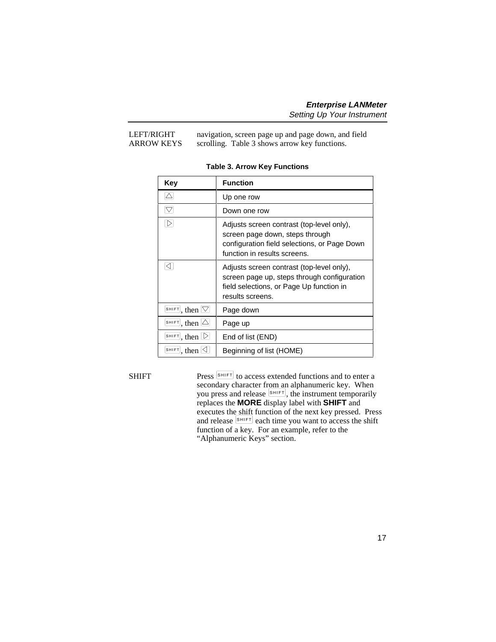#### <span id="page-24-0"></span>LEFT/RIGHT navigation, screen page up and page down, and field ARROW KEYS scrolling. Table 3 shows arrow key functions.

| Key                                                              | <b>Function</b>                                                                                                                                              |
|------------------------------------------------------------------|--------------------------------------------------------------------------------------------------------------------------------------------------------------|
|                                                                  | Up one row                                                                                                                                                   |
| $\bigtriangledown$                                               | Down one row                                                                                                                                                 |
| $\triangleright$                                                 | Adjusts screen contrast (top-level only),<br>screen page down, steps through<br>configuration field selections, or Page Down<br>function in results screens. |
| ◁                                                                | Adjusts screen contrast (top-level only),<br>screen page up, steps through configuration<br>field selections, or Page Up function in<br>results screens.     |
| $\overline{\text{shiff}}$ , then $\boxed{\triangledown}$         | Page down                                                                                                                                                    |
| $\frac{\text{SHIFT}}{\text{SHI}}$ , then $\triangle$             | Page up                                                                                                                                                      |
| $\frac{SHIFT}{S}$ , then $\Box$                                  | End of list (END)                                                                                                                                            |
| $\frac{\text{SHIFT}}{\text{SHI}}$ , then $\boxed{\triangleleft}$ | Beginning of list (HOME)                                                                                                                                     |

#### **Table 3. Arrow Key Functions**

SHIFT Press  $\left[ \text{SHIFT} \right]$  to access extended functions and to enter a secondary character from an alphanumeric key. When you press and release  $\overline{\text{SHET}}$ , the instrument temporarily replaces the **MORE** display label with **SHIFT** and executes the shift function of the next key pressed. Press and release  $\frac{\left|\mathbf{s}\right| \mathbf{H} \left|\mathbf{F}\right|}{\left|\mathbf{F}\right|}$  each time you want to access the shift function of a key. For an example, refer to the "Alphanumeric Keys" section.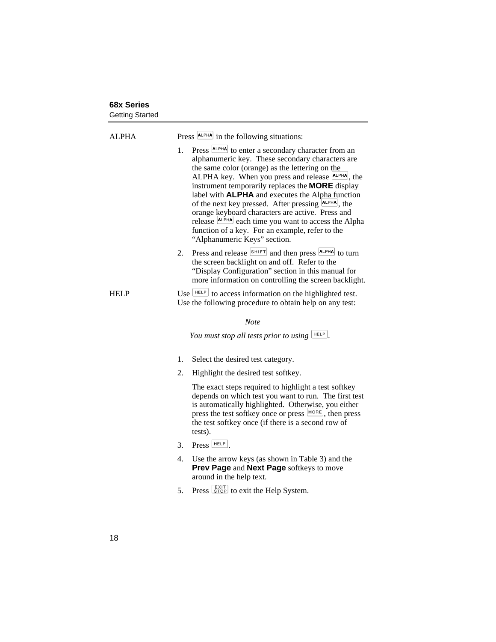<span id="page-25-0"></span>

| ALPHA       | Press  ALPHA  in the following situations:                                                                                                                                                                                                                                                                                                                                                                                                                                                                                                                                                                                     |  |
|-------------|--------------------------------------------------------------------------------------------------------------------------------------------------------------------------------------------------------------------------------------------------------------------------------------------------------------------------------------------------------------------------------------------------------------------------------------------------------------------------------------------------------------------------------------------------------------------------------------------------------------------------------|--|
|             | Press <b>ALPHA</b> to enter a secondary character from an<br>1.<br>alphanumeric key. These secondary characters are<br>the same color (orange) as the lettering on the<br>ALPHA key. When you press and release <b>ALPHA</b> , the<br>instrument temporarily replaces the MORE display<br>label with <b>ALPHA</b> and executes the Alpha function<br>of the next key pressed. After pressing $\frac{ALPHA}{ALPHA}$ , the<br>orange keyboard characters are active. Press and<br>release <b>ALPHA</b> each time you want to access the Alpha<br>function of a key. For an example, refer to the<br>"Alphanumeric Keys" section. |  |
|             | Press and release SHIFT and then press ALPHA to turn<br>2.<br>the screen backlight on and off. Refer to the<br>"Display Configuration" section in this manual for<br>more information on controlling the screen backlight.                                                                                                                                                                                                                                                                                                                                                                                                     |  |
| <b>HELP</b> | Use $\left\lfloor \frac{HELP}{H} \right\rfloor$ to access information on the highlighted test.<br>Use the following procedure to obtain help on any test:                                                                                                                                                                                                                                                                                                                                                                                                                                                                      |  |
|             | <b>Note</b>                                                                                                                                                                                                                                                                                                                                                                                                                                                                                                                                                                                                                    |  |
|             | You must stop all tests prior to using $L_{\text{HEP}}$ .                                                                                                                                                                                                                                                                                                                                                                                                                                                                                                                                                                      |  |
|             | 1.<br>Select the desired test category.                                                                                                                                                                                                                                                                                                                                                                                                                                                                                                                                                                                        |  |
|             | 2.<br>Highlight the desired test softkey.                                                                                                                                                                                                                                                                                                                                                                                                                                                                                                                                                                                      |  |
|             | The exact steps required to highlight a test softkey<br>depends on which test you want to run. The first test<br>is automatically highlighted. Otherwise, you either<br>press the test softkey once or press MORE, then press<br>the test softkey once (if there is a second row of<br>tests).                                                                                                                                                                                                                                                                                                                                 |  |
|             | $Press$ $HEP$<br>3.                                                                                                                                                                                                                                                                                                                                                                                                                                                                                                                                                                                                            |  |
|             | Use the arrow keys (as shown in Table 3) and the<br>4.<br>Prev Page and Next Page softkeys to move<br>around in the help text.                                                                                                                                                                                                                                                                                                                                                                                                                                                                                                 |  |
|             | Press <b>STOP</b> to exit the Help System.<br>5.                                                                                                                                                                                                                                                                                                                                                                                                                                                                                                                                                                               |  |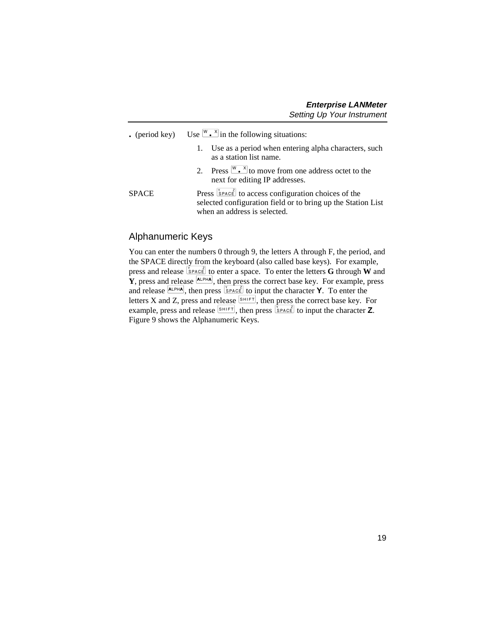<span id="page-26-0"></span>

|  | $\bullet$ (period key) |  |  |  |  |  | Use $\left[\begin{matrix}W & X\end{matrix}\right]$ in the following situations: |
|--|------------------------|--|--|--|--|--|---------------------------------------------------------------------------------|
|--|------------------------|--|--|--|--|--|---------------------------------------------------------------------------------|

- 1. Use as a period when entering alpha characters, such as a station list name.
- 2. Press  $\frac{W X}{A}$  to move from one address octet to the next for editing IP addresses.

SPACE Press  $\frac{S_{\text{PACE}}}{S_{\text{PACE}}}$  to access configuration choices of the selected configuration field or to bring up the Station List when an address is selected.

### Alphanumeric Keys

You can enter the numbers 0 through 9, the letters A through F, the period, and the SPACE directly from the keyboard (also called base keys). For example, press and release  $\frac{1}{2}$  to enter a space. To enter the letters **G** through **W** and  $\mathbf{\tilde{Y}}$ , press and release  $\mathbf{A}$ <sub>LPHA</sub>, then press the correct base key. For example, press and release  $\frac{A L P H A}{P}$ , then press  $\frac{S P A C E}{P}$  to input the character **Y**. To enter the letters X and Z, press and release  $\frac{S H I F T}{R}$ , then press the correct base key. For example, press and release  $\boxed{\text{SHET}}$ , then press  $\boxed{\text{Space}}$  to input the character **Z**. Figure 9 shows the Alphanumeric Keys.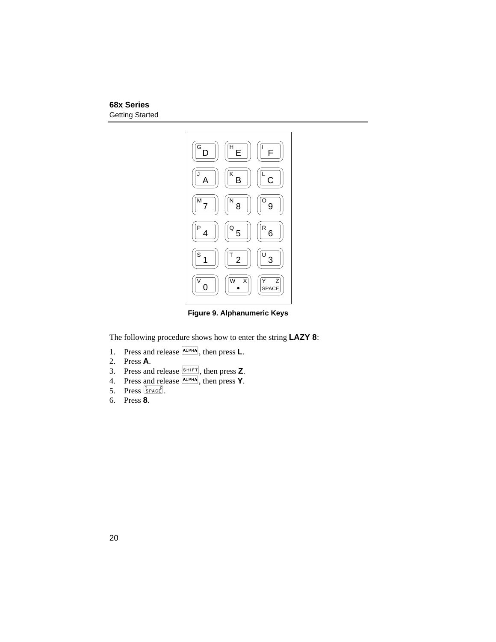<span id="page-27-0"></span>

**Figure 9. Alphanumeric Keys**

The following procedure shows how to enter the string **LAZY 8**:

- 1. Press and release  $\overline{ALPHA}$ , then press **L**.
- 2. Press **A**.
- 3. Press and release  $\boxed{\text{SHIFT}}$ , then press **Z**.
- 4. Press and release  $\overline{A L PHA}$ , then press **Y**.
- 5. Press  $S_{\text{PACE}}^{\gamma}$ .
- 6. Press **8**.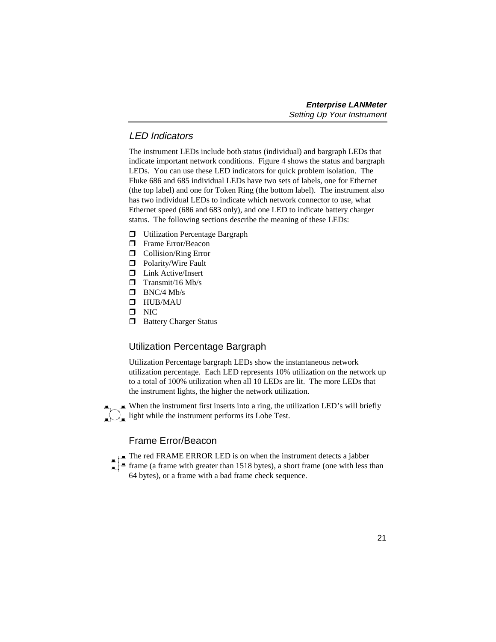## <span id="page-28-0"></span>LED Indicators

The instrument LEDs include both status (individual) and bargraph LEDs that indicate important network conditions. Figure 4 shows the status and bargraph LEDs. You can use these LED indicators for quick problem isolation. The Fluke 686 and 685 individual LEDs have two sets of labels, one for Ethernet (the top label) and one for Token Ring (the bottom label). The instrument also has two individual LEDs to indicate which network connector to use, what Ethernet speed (686 and 683 only), and one LED to indicate battery charger status. The following sections describe the meaning of these LEDs:

- $\Box$  Utilization Percentage Bargraph
- **T** Frame Error/Beacon
- $\Box$  Collision/Ring Error
- $\Box$  Polarity/Wire Fault
- $\Box$  Link Active/Insert
- $\blacksquare$  Transmit/16 Mb/s
- $\blacksquare$  BNC/4 Mb/s
- $\blacksquare$  HUR/MAU
- $\blacksquare$  NIC
- $\Box$  Battery Charger Status

# Utilization Percentage Bargraph

Utilization Percentage bargraph LEDs show the instantaneous network utilization percentage. Each LED represents 10% utilization on the network up to a total of 100% utilization when all 10 LEDs are lit. The more LEDs that the instrument lights, the higher the network utilization.

 $\blacktriangle$  When the instrument first inserts into a ring, the utilization LED's will briefly  $\lfloor \frac{1}{2} \rfloor$  light while the instrument performs its Lobe Test.

# Frame Error/Beacon

- The red FRAME ERROR LED is on when the instrument detects a jabber
- **f** frame (a frame with greater than 1518 bytes), a short frame (one with less than 64 bytes), or a frame with a bad frame check sequence.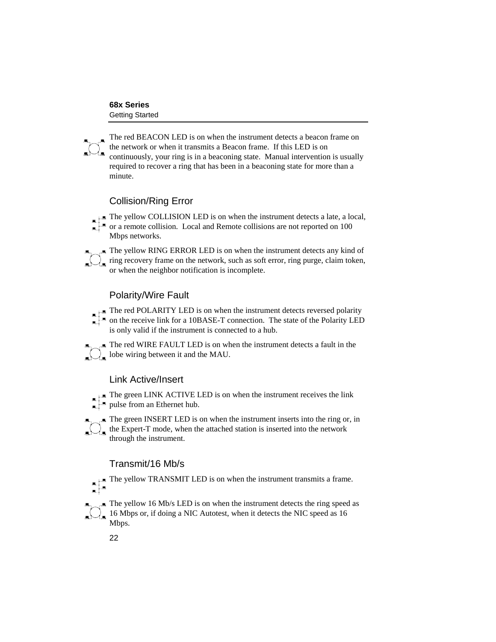<span id="page-29-0"></span>The red BEACON LED is on when the instrument detects a beacon frame on the network or when it transmits a Beacon frame. If this LED is on continuously, your ring is in a beaconing state. Manual intervention is usually required to recover a ring that has been in a beaconing state for more than a minute.

# Collision/Ring Error

The yellow COLLISION LED is on when the instrument detects a late, a local,

- or a remote collision. Local and Remote collisions are not reported on 100 Mbps networks.
- The yellow RING ERROR LED is on when the instrument detects any kind of ring recovery frame on the network, such as soft error, ring purge, claim token, or when the neighbor notification is incomplete.

# Polarity/Wire Fault

- The red POLARITY LED is on when the instrument detects reversed polarity
- on the receive link for a 10BASE-T connection. The state of the Polarity LED is only valid if the instrument is connected to a hub.
- $\blacksquare$  The red WIRE FAULT LED is on when the instrument detects a fault in the  $\sum_{n=1}^{\infty}$  The red WIKE PAULI LED is on with  $\sum_{n=1}^{\infty}$  lobe wiring between it and the MAU.

# Link Active/Insert

- The green LINK ACTIVE LED is on when the instrument receives the link pulse from an Ethernet hub.
- $\blacksquare$  The green INSERT LED is on when the instrument inserts into the ring or, in  $\overline{\bigcup}_{\blacksquare}$  the Expert-T mode, when the attached station is inserted into the network through the instrument.

# Transmit/16 Mb/s

- The yellow TRANSMIT LED is on when the instrument transmits a frame.
- $\blacktriangle$  The yellow 16 Mb/s LED is on when the instrument detects the ring speed as  $16$  Mbps or, if doing a NIC Autotest, when it detects the NIC speed as 16 Mbps.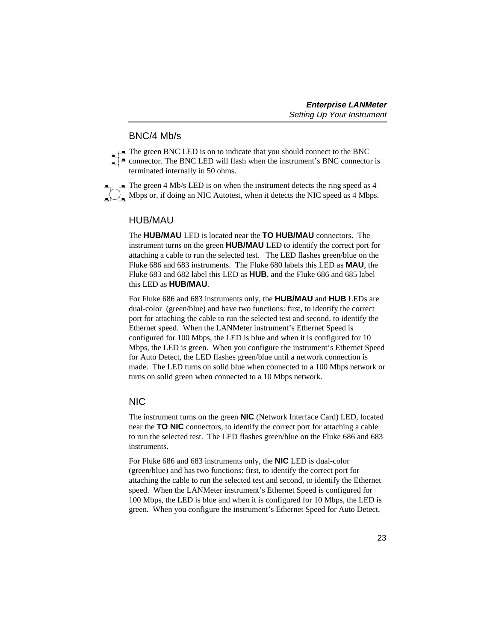### BNC/4 Mb/s

- <span id="page-30-0"></span>The green BNC LED is on to indicate that you should connect to the BNC
- connector. The BNC LED will flash when the instrument's BNC connector is terminated internally in 50 ohms.
- $\equiv$  The green 4 Mb/s LED is on when the instrument detects the ring speed as 4  $\Box$  Mbps or, if doing an NIC Autotest, when it detects the NIC speed as 4 Mbps.

# HUB/MAU

The **HUB/MAU** LED is located near the **TO HUB/MAU** connectors. The instrument turns on the green **HUB/MAU** LED to identify the correct port for attaching a cable to run the selected test. The LED flashes green/blue on the Fluke 686 and 683 instruments. The Fluke 680 labels this LED as **MAU**, the Fluke 683 and 682 label this LED as **HUB**, and the Fluke 686 and 685 label this LED as **HUB/MAU**.

For Fluke 686 and 683 instruments only, the **HUB/MAU** and **HUB** LEDs are dual-color (green/blue) and have two functions: first, to identify the correct port for attaching the cable to run the selected test and second, to identify the Ethernet speed. When the LANMeter instrument's Ethernet Speed is configured for 100 Mbps, the LED is blue and when it is configured for 10 Mbps, the LED is green. When you configure the instrument's Ethernet Speed for Auto Detect, the LED flashes green/blue until a network connection is made. The LED turns on solid blue when connected to a 100 Mbps network or turns on solid green when connected to a 10 Mbps network.

# NIC

The instrument turns on the green **NIC** (Network Interface Card) LED, located near the **TO NIC** connectors, to identify the correct port for attaching a cable to run the selected test. The LED flashes green/blue on the Fluke 686 and 683 instruments.

For Fluke 686 and 683 instruments only, the **NIC** LED is dual-color (green/blue) and has two functions: first, to identify the correct port for attaching the cable to run the selected test and second, to identify the Ethernet speed. When the LANMeter instrument's Ethernet Speed is configured for 100 Mbps, the LED is blue and when it is configured for 10 Mbps, the LED is green. When you configure the instrument's Ethernet Speed for Auto Detect,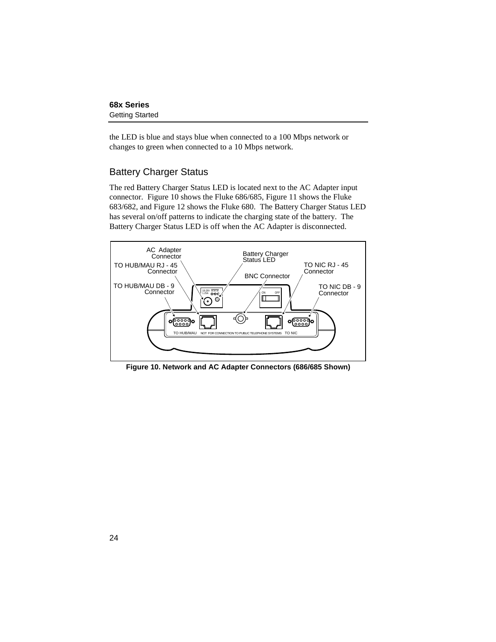<span id="page-31-0"></span>the LED is blue and stays blue when connected to a 100 Mbps network or changes to green when connected to a 10 Mbps network.

### Battery Charger Status

The red Battery Charger Status LED is located next to the AC Adapter input connector. Figure 10 shows the Fluke 686/685, Figure 11 shows the Fluke 683/682, and Figure 12 shows the Fluke 680. The Battery Charger Status LED has several on/off patterns to indicate the charging state of the battery. The Battery Charger Status LED is off when the AC Adapter is disconnected.



**Figure 10. Network and AC Adapter Connectors (686/685 Shown)**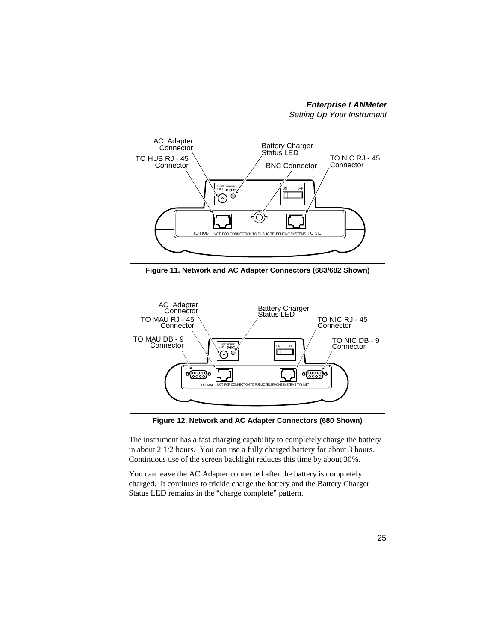<span id="page-32-0"></span>

**Figure 11. Network and AC Adapter Connectors (683/682 Shown)**



**Figure 12. Network and AC Adapter Connectors (680 Shown)**

The instrument has a fast charging capability to completely charge the battery in about 2 1/2 hours. You can use a fully charged battery for about 3 hours. Continuous use of the screen backlight reduces this time by about 30%.

You can leave the AC Adapter connected after the battery is completely charged. It continues to trickle charge the battery and the Battery Charger Status LED remains in the "charge complete" pattern.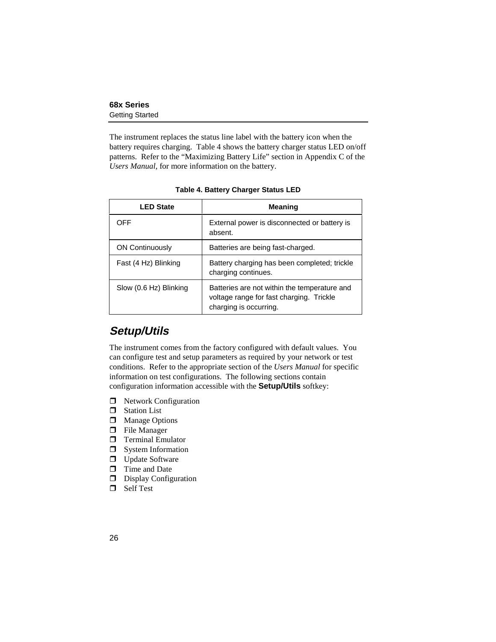<span id="page-33-0"></span>The instrument replaces the status line label with the battery icon when the battery requires charging. Table 4 shows the battery charger status LED on/off patterns. Refer to the "Maximizing Battery Life" section in Appendix C of the *Users Manual*, for more information on the battery.

| <b>LED State</b>       | <b>Meaning</b>                                                                                                     |
|------------------------|--------------------------------------------------------------------------------------------------------------------|
| OFF                    | External power is disconnected or battery is<br>absent.                                                            |
| <b>ON Continuously</b> | Batteries are being fast-charged.                                                                                  |
| Fast (4 Hz) Blinking   | Battery charging has been completed; trickle<br>charging continues.                                                |
| Slow (0.6 Hz) Blinking | Batteries are not within the temperature and<br>voltage range for fast charging. Trickle<br>charging is occurring. |

**Table 4. Battery Charger Status LED**

# **Setup/Utils**

The instrument comes from the factory configured with default values. You can configure test and setup parameters as required by your network or test conditions. Refer to the appropriate section of the *Users Manual* for specific information on test configurations. The following sections contain configuration information accessible with the **Setup/Utils** softkey:

- $\Box$  Network Configuration
- $\Box$  Station List
- $\Box$  Manage Options
- $\Box$  File Manager
- $\Box$  Terminal Emulator
- $\Box$  System Information
- $\Box$  Update Software
- $\Box$  Time and Date
- $\Box$  Display Configuration
- $\Box$  Self Test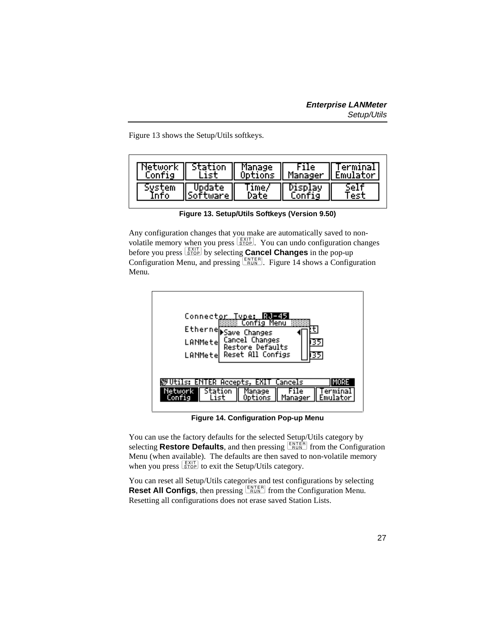<span id="page-34-0"></span>Figure 13 shows the Setup/Utils softkeys.

| Network<br>Config | <b>I</b> Station<br>List. |       |         | Manage File Terminal<br>Options Manager Emulator |
|-------------------|---------------------------|-------|---------|--------------------------------------------------|
|                   | Jodate                    | lime/ | )isblav |                                                  |

Any configuration changes that you make are automatically saved to nonvolatile memory when you press  $\frac{EXIT}{STOP}$ . You can undo configuration changes before you press  $\frac{[E X | T]}{[S T Q]}$  by selecting **Cancel Changes** in the pop-up Configuration Menu, and pressing  $\sqrt{\frac{ENTER}{RUN}}$ . Figure 14 shows a Configuration Menu.



**Figure 14. Configuration Pop-up Menu**

You can use the factory defaults for the selected Setup/Utils category by selecting **Restore Defaults**, and then pressing  $\frac{\text{ENTER}}{\text{Run}}$  from the Configuration Menu (when available). The defaults are then saved to non-volatile memory when you press  $\left[\frac{EXIT}{STOP}\right]$  to exit the Setup/Utils category.

You can reset all Setup/Utils categories and test configurations by selecting **Reset All Configs**, then pressing  $\frac{ENTER}{RUN}$  from the Configuration Menu. Resetting all configurations does not erase saved Station Lists.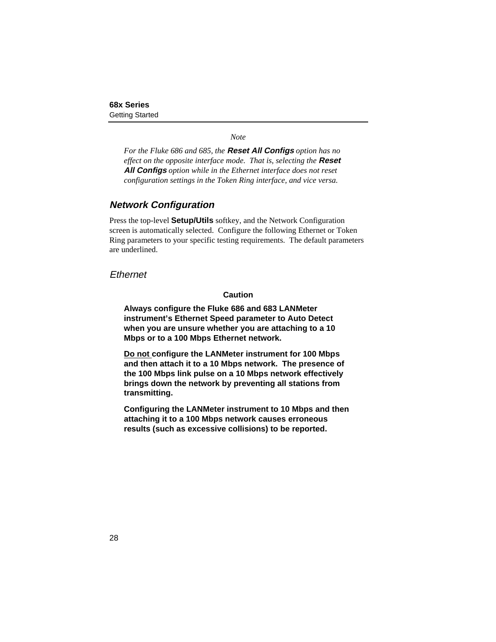#### *Note*

<span id="page-35-0"></span>*For the Fluke 686 and 685, the* **Reset All Configs** *option has no effect on the opposite interface mode. That is, selecting the* **Reset All Configs** *option while in the Ethernet interface does not reset configuration settings in the Token Ring interface, and vice versa.*

### **Network Configuration**

Press the top-level **Setup/Utils** softkey, and the Network Configuration screen is automatically selected. Configure the following Ethernet or Token Ring parameters to your specific testing requirements. The default parameters are underlined.

**Fthernet** 

#### **Caution**

**Always configure the Fluke 686 and 683 LANMeter instrument's Ethernet Speed parameter to Auto Detect when you are unsure whether you are attaching to a 10 Mbps or to a 100 Mbps Ethernet network.**

**Do not configure the LANMeter instrument for 100 Mbps and then attach it to a 10 Mbps network. The presence of the 100 Mbps link pulse on a 10 Mbps network effectively brings down the network by preventing all stations from transmitting.**

**Configuring the LANMeter instrument to 10 Mbps and then attaching it to a 100 Mbps network causes erroneous results (such as excessive collisions) to be reported.**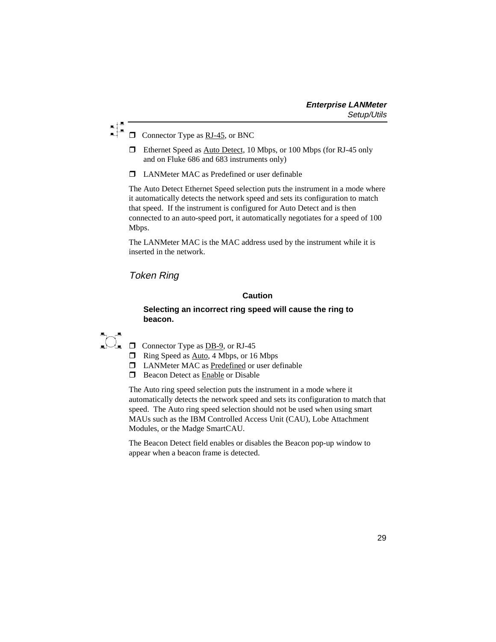### <span id="page-36-0"></span> $\Box$  Connector Type as RJ-45, or BNC

- $\Box$  Ethernet Speed as Auto Detect, 10 Mbps, or 100 Mbps (for RJ-45 only and on Fluke 686 and 683 instruments only)
- $\Box$  LANMeter MAC as Predefined or user definable

The Auto Detect Ethernet Speed selection puts the instrument in a mode where it automatically detects the network speed and sets its configuration to match that speed. If the instrument is configured for Auto Detect and is then connected to an auto-speed port, it automatically negotiates for a speed of 100 Mbps.

The LANMeter MAC is the MAC address used by the instrument while it is inserted in the network.

### Token Ring

#### **Caution**

#### **Selecting an incorrect ring speed will cause the ring to beacon.**

# $\overline{\Omega}$ .

- $\Box$  Connector Type as DB-9, or RJ-45
- $\Box$  Ring Speed as Auto, 4 Mbps, or 16 Mbps
- $\Box$  LANMeter MAC as Predefined or user definable
- $\Box$  Beacon Detect as Enable or Disable

The Auto ring speed selection puts the instrument in a mode where it automatically detects the network speed and sets its configuration to match that speed. The Auto ring speed selection should not be used when using smart MAUs such as the IBM Controlled Access Unit (CAU), Lobe Attachment Modules, or the Madge SmartCAU.

The Beacon Detect field enables or disables the Beacon pop-up window to appear when a beacon frame is detected.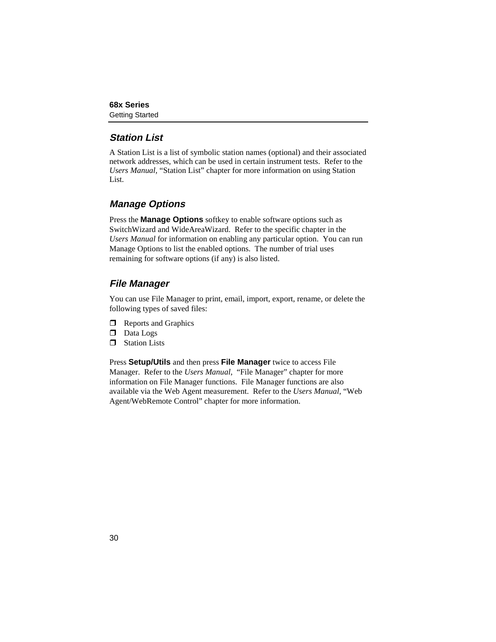## <span id="page-37-0"></span>**Station List**

A Station List is a list of symbolic station names (optional) and their associated network addresses, which can be used in certain instrument tests. Refer to the *Users Manual,* "Station List" chapter for more information on using Station List.

# **Manage Options**

Press the **Manage Options** softkey to enable software options such as SwitchWizard and WideAreaWizard. Refer to the specific chapter in the *Users Manual* for information on enabling any particular option. You can run Manage Options to list the enabled options. The number of trial uses remaining for software options (if any) is also listed.

# **File Manager**

You can use File Manager to print, email, import, export, rename, or delete the following types of saved files:

- $\Box$  Reports and Graphics
- $\Box$  Data Logs
- $\Box$  Station Lists

Press **Setup/Utils** and then press **File Manager** twice to access File Manager. Refer to the *Users Manual*, "File Manager" chapter for more information on File Manager functions. File Manager functions are also available via the Web Agent measurement. Refer to the *Users Manual*, "Web Agent/WebRemote Control" chapter for more information.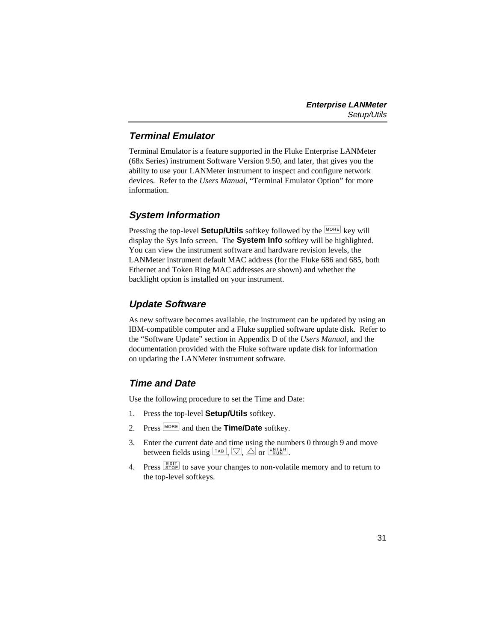# <span id="page-38-0"></span>**Terminal Emulator**

Terminal Emulator is a feature supported in the Fluke Enterprise LANMeter (68x Series) instrument Software Version 9.50, and later, that gives you the ability to use your LANMeter instrument to inspect and configure network devices. Refer to the *Users Manual*, "Terminal Emulator Option" for more information.

# **System Information**

Pressing the top-level **Setup/Utils** softkey followed by the **MORE** key will display the Sys Info screen. The **System Info** softkey will be highlighted. You can view the instrument software and hardware revision levels, the LANMeter instrument default MAC address (for the Fluke 686 and 685, both Ethernet and Token Ring MAC addresses are shown) and whether the backlight option is installed on your instrument.

# **Update Software**

As new software becomes available, the instrument can be updated by using an IBM-compatible computer and a Fluke supplied software update disk. Refer to the "Software Update" section in Appendix D of the *Users Manual*, and the documentation provided with the Fluke software update disk for information on updating the LANMeter instrument software.

# **Time and Date**

Use the following procedure to set the Time and Date:

- 1. Press the top-level **Setup/Utils** softkey.
- 2. Press  $\lfloor \text{moRE} \rfloor$  and then the **Time/Date** softkey.
- 3. Enter the current date and time using the numbers 0 through 9 and move between fields using  $\boxed{\top A,B}$ ,  $\boxed{\bigcirc}$ ,  $\boxed{\triangle}$  or  $\boxed{\frac{\text{ENTER}}{\text{Run}}}$ .
- 4. Press  $\frac{[X]}{[SIOP]}$  to save your changes to non-volatile memory and to return to the top-level softkeys.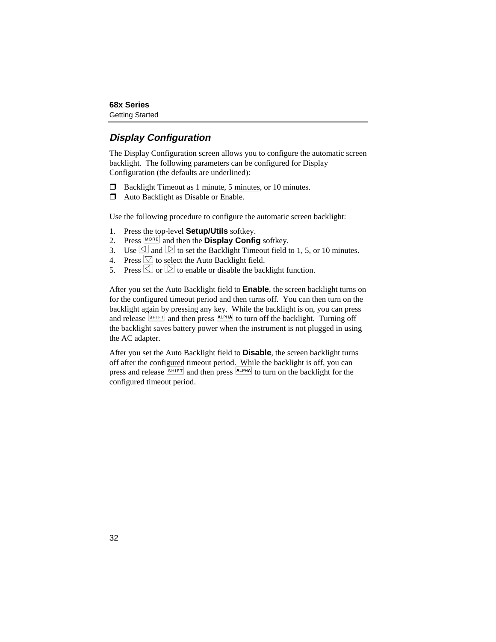# <span id="page-39-0"></span>**Display Configuration**

The Display Configuration screen allows you to configure the automatic screen backlight. The following parameters can be configured for Display Configuration (the defaults are underlined):

- $\Box$  Backlight Timeout as 1 minute,  $\frac{5 \text{ minutes}}{2}$ , or 10 minutes.
- $\Box$  Auto Backlight as Disable or Enable.

Use the following procedure to configure the automatic screen backlight:

- 1. Press the top-level **Setup/Utils** softkey.
- 2. Press  $\sqrt{\text{MORE}}$  and then the **Display Config** softkey.
- 3. Use  $\Box$  and  $\Box$  to set the Backlight Timeout field to 1, 5, or 10 minutes.
- 4. Press  $\heartsuit$  to select the Auto Backlight field.
- 5. Press  $\Box$  or  $\Box$  to enable or disable the backlight function.

After you set the Auto Backlight field to **Enable**, the screen backlight turns on for the configured timeout period and then turns off. You can then turn on the backlight again by pressing any key. While the backlight is on, you can press and release  $\frac{S H I F T}{T}$  and then press  $\frac{A L P H A}{T}$  to turn off the backlight. Turning off the backlight saves battery power when the instrument is not plugged in using the AC adapter.

After you set the Auto Backlight field to **Disable**, the screen backlight turns off after the configured timeout period. While the backlight is off, you can press and release SHIFT and then press ALPHA to turn on the backlight for the configured timeout period.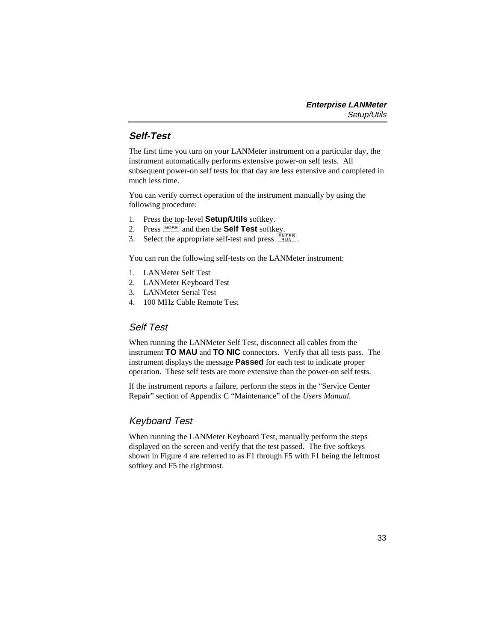# <span id="page-40-0"></span>**Self-Test**

The first time you turn on your LANMeter instrument on a particular day, the instrument automatically performs extensive power-on self tests. All subsequent power-on self tests for that day are less extensive and completed in much less time.

You can verify correct operation of the instrument manually by using the following procedure:

- 1. Press the top-level **Setup/Utils** softkey.
- 2. Press  $\left[\text{More}\right]$  and then the **Self Test** softkey.
- 3. Select the appropriate self-test and press  $\frac{\text{EXTER}}{\text{RUN}}$ .

You can run the following self-tests on the LANMeter instrument:

- 1. LANMeter Self Test
- 2. LANMeter Keyboard Test
- 3. LANMeter Serial Test
- 4. 100 MHz Cable Remote Test

## Self Test

When running the LANMeter Self Test, disconnect all cables from the instrument **TO MAU** and **TO NIC** connectors. Verify that all tests pass. The instrument displays the message **Passed** for each test to indicate proper operation. These self tests are more extensive than the power-on self tests.

If the instrument reports a failure, perform the steps in the "Service Center Repair" section of Appendix C "Maintenance" of the *Users Manual.*

# Keyboard Test

When running the LANMeter Keyboard Test, manually perform the steps displayed on the screen and verify that the test passed. The five softkeys shown in Figure 4 are referred to as F1 through F5 with F1 being the leftmost softkey and F5 the rightmost.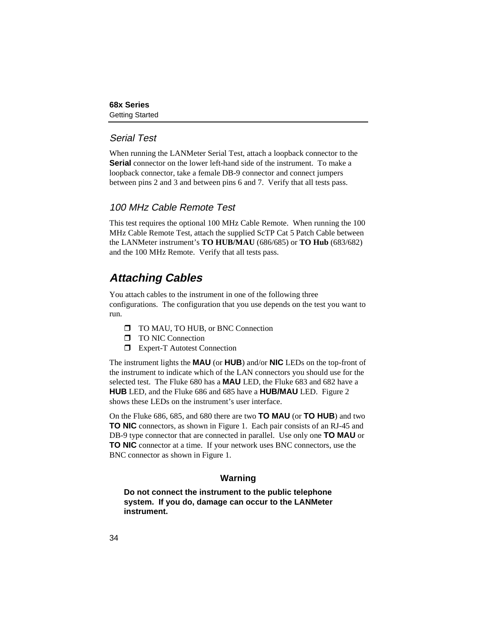## <span id="page-41-0"></span>Serial Test

When running the LANMeter Serial Test, attach a loopback connector to the **Serial** connector on the lower left-hand side of the instrument. To make a loopback connector, take a female DB-9 connector and connect jumpers between pins 2 and 3 and between pins 6 and 7. Verify that all tests pass.

# 100 MHz Cable Remote Test

This test requires the optional 100 MHz Cable Remote. When running the 100 MHz Cable Remote Test, attach the supplied ScTP Cat 5 Patch Cable between the LANMeter instrument's **TO HUB/MAU** (686/685) or **TO Hub** (683/682) and the 100 MHz Remote. Verify that all tests pass.

# **Attaching Cables**

You attach cables to the instrument in one of the following three configurations. The configuration that you use depends on the test you want to run.

- **T** TO MAU, TO HUB, or BNC Connection
- **T** TO NIC Connection
- $\Box$  Expert-T Autotest Connection

The instrument lights the **MAU** (or **HUB**) and/or **NIC** LEDs on the top-front of the instrument to indicate which of the LAN connectors you should use for the selected test. The Fluke 680 has a **MAU** LED, the Fluke 683 and 682 have a **HUB** LED, and the Fluke 686 and 685 have a **HUB/MAU** LED. Figure 2 shows these LEDs on the instrument's user interface.

On the Fluke 686, 685, and 680 there are two **TO MAU** (or **TO HUB**) and two **TO NIC** connectors, as shown in Figure 1. Each pair consists of an RJ-45 and DB-9 type connector that are connected in parallel. Use only one **TO MAU** or **TO NIC** connector at a time. If your network uses BNC connectors, use the BNC connector as shown in Figure 1.

## **Warning**

**Do not connect the instrument to the public telephone system. If you do, damage can occur to the LANMeter instrument.**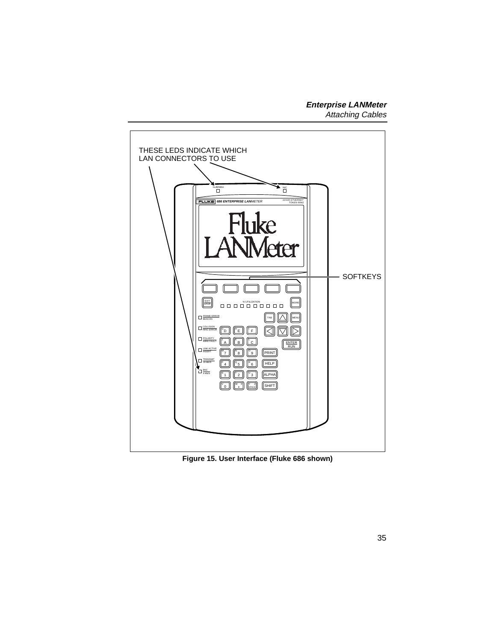<span id="page-42-0"></span>

**Figure 15. User Interface (Fluke 686 shown)**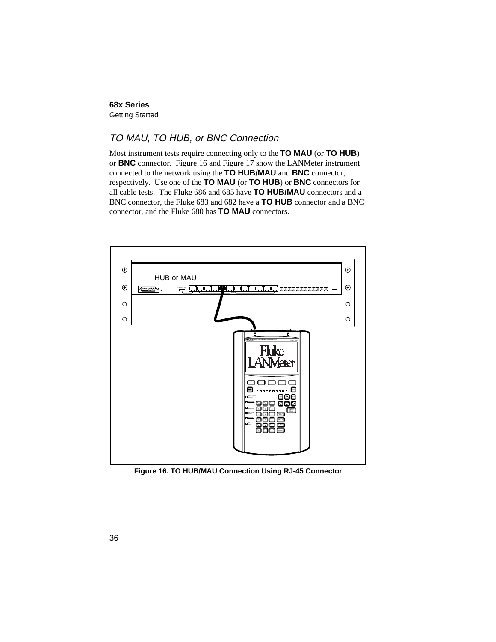# <span id="page-43-0"></span>TO MAU, TO HUB, or BNC Connection

Most instrument tests require connecting only to the **TO MAU** (or **TO HUB**) or **BNC** connector. Figure 16 and Figure 17 show the LANMeter instrument connected to the network using the **TO HUB/MAU** and **BNC** connector, respectively. Use one of the **TO MAU** (or **TO HUB**) or **BNC** connectors for all cable tests. The Fluke 686 and 685 have **TO HUB/MAU** connectors and a BNC connector, the Fluke 683 and 682 have a **TO HUB** connector and a BNC connector, and the Fluke 680 has **TO MAU** connectors.



**Figure 16. TO HUB/MAU Connection Using RJ-45 Connector**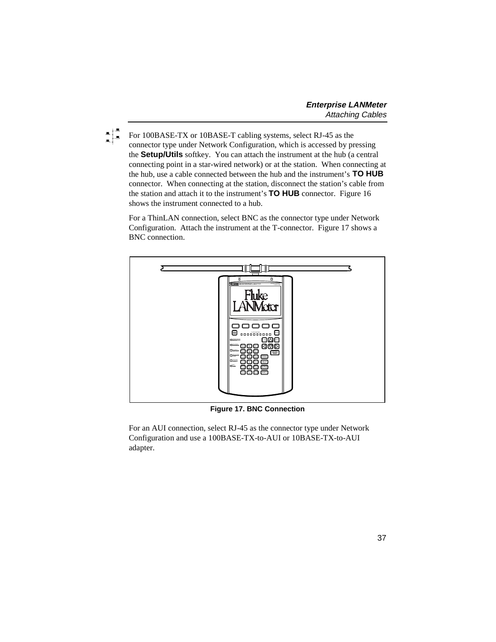<span id="page-44-0"></span>

For 100BASE-TX or 10BASE-T cabling systems, select RJ-45 as the connector type under Network Configuration, which is accessed by pressing the **Setup/Utils** softkey. You can attach the instrument at the hub (a central connecting point in a star-wired network) or at the station. When connecting at the hub, use a cable connected between the hub and the instrument's **TO HUB** connector. When connecting at the station, disconnect the station's cable from the station and attach it to the instrument's **TO HUB** connector. Figure 16 shows the instrument connected to a hub.

For a ThinLAN connection, select BNC as the connector type under Network Configuration. Attach the instrument at the T-connector. Figure 17 shows a BNC connection.



**Figure 17. BNC Connection**

For an AUI connection, select RJ-45 as the connector type under Network Configuration and use a 100BASE-TX-to-AUI or 10BASE-TX-to-AUI adapter.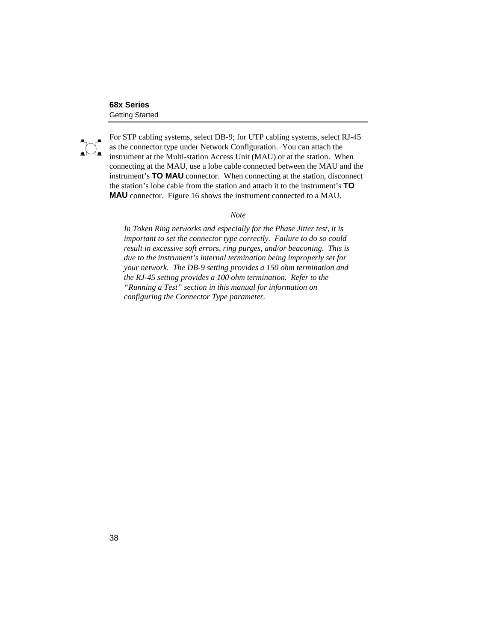<span id="page-45-0"></span>

For STP cabling systems, select DB-9; for UTP cabling systems, select RJ-45 as the connector type under Network Configuration. You can attach the instrument at the Multi-station Access Unit (MAU) or at the station. When connecting at the MAU, use a lobe cable connected between the MAU and the instrument's **TO MAU** connector. When connecting at the station, disconnect the station's lobe cable from the station and attach it to the instrument's **TO MAU** connector. Figure 16 shows the instrument connected to a MAU.

#### *Note*

*In Token Ring networks and especially for the Phase Jitter test, it is important to set the connector type correctly. Failure to do so could result in excessive soft errors, ring purges, and/or beaconing. This is due to the instrument's internal termination being improperly set for your network. The DB-9 setting provides a 150 ohm termination and the RJ-45 setting provides a 100 ohm termination. Refer to the "Running a Test" section in this manual for information on configuring the Connector Type parameter.*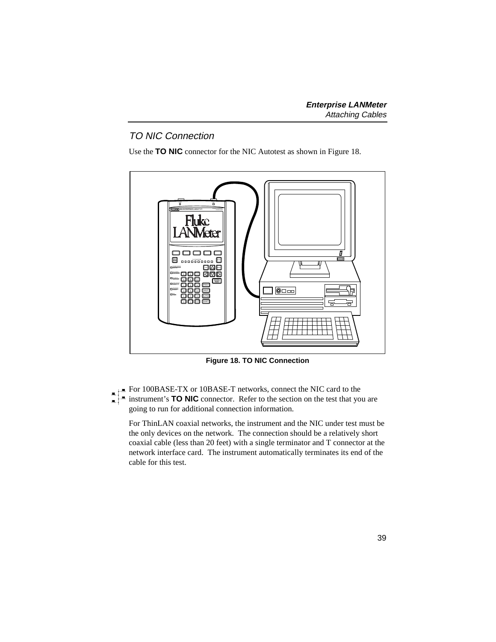# <span id="page-46-0"></span>TO NIC Connection

Use the **TO NIC** connector for the NIC Autotest as shown in Figure 18.



**Figure 18. TO NIC Connection**

For 100BASE-TX or 10BASE-T networks, connect the NIC card to the

instrument's **TO NIC** connector. Refer to the section on the test that you are going to run for additional connection information.

For ThinLAN coaxial networks, the instrument and the NIC under test must be the only devices on the network. The connection should be a relatively short coaxial cable (less than 20 feet) with a single terminator and T connector at the network interface card. The instrument automatically terminates its end of the cable for this test.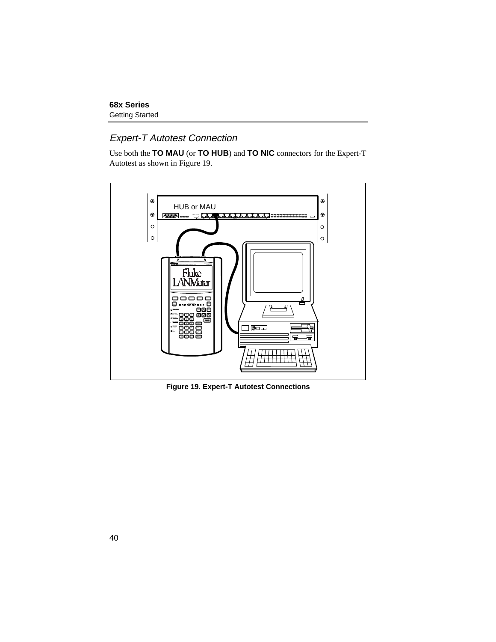### <span id="page-47-0"></span>Expert-T Autotest Connection

Use both the **TO MAU** (or **TO HUB**) and **TO NIC** connectors for the Expert-T Autotest as shown in Figure 19.



**Figure 19. Expert-T Autotest Connections**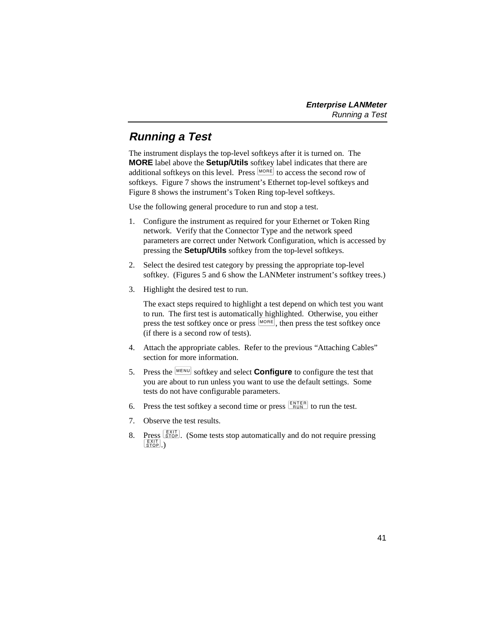# <span id="page-48-0"></span>**Running a Test**

The instrument displays the top-level softkeys after it is turned on. The **MORE** label above the **Setup/Utils** softkey label indicates that there are additional softkeys on this level. Press  $\overline{M}$  to access the second row of softkeys. Figure 7 shows the instrument's Ethernet top-level softkeys and Figure 8 shows the instrument's Token Ring top-level softkeys.

Use the following general procedure to run and stop a test.

- 1. Configure the instrument as required for your Ethernet or Token Ring network. Verify that the Connector Type and the network speed parameters are correct under Network Configuration, which is accessed by pressing the **Setup/Utils** softkey from the top-level softkeys.
- 2. Select the desired test category by pressing the appropriate top-level softkey. (Figures 5 and 6 show the LANMeter instrument's softkey trees.)
- 3. Highlight the desired test to run.

The exact steps required to highlight a test depend on which test you want to run. The first test is automatically highlighted. Otherwise, you either press the test softkey once or press  $\lfloor_{\text{MORE}}\rfloor$ , then press the test softkey once (if there is a second row of tests).

- 4. Attach the appropriate cables. Refer to the previous "Attaching Cables" section for more information.
- 5. Press the MENU softkey and select **Configure** to configure the test that you are about to run unless you want to use the default settings. Some tests do not have configurable parameters.
- 6. Press the test softkey a second time or press  $\frac{\text{ENTER}}{\text{Run}}$  to run the test.
- 7. Observe the test results.
- 8. Press  $\frac{\sqrt{[X]}(T)}{\sqrt{[X]}(T)}$ . (Some tests stop automatically and do not require pressing  $\left|\frac{\text{EXIT}}{\text{STOP}}\right|$ .)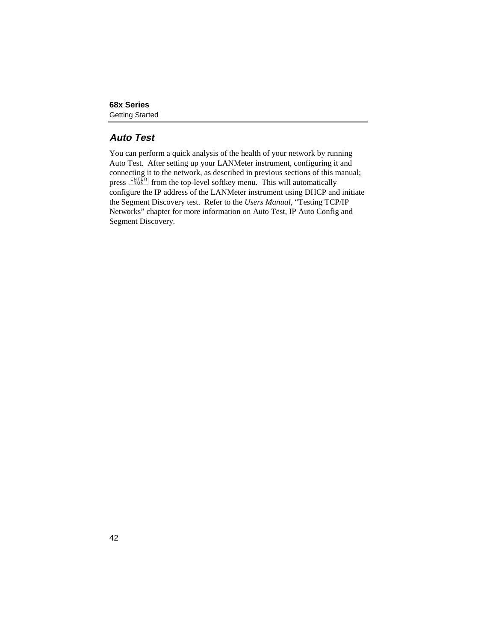# <span id="page-49-0"></span>**Auto Test**

You can perform a quick analysis of the health of your network by running Auto Test. After setting up your LANMeter instrument, configuring it and connecting it to the network, as described in previous sections of this manual; press  $\frac{[ENTER]}{RUN}$  from the top-level softkey menu. This will automatically configure the IP address of the LANMeter instrument using DHCP and initiate the Segment Discovery test. Refer to the *Users Manual*, "Testing TCP/IP Networks" chapter for more information on Auto Test, IP Auto Config and Segment Discovery.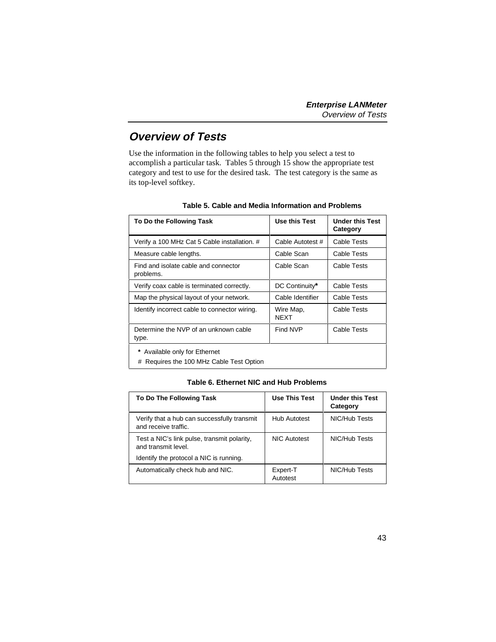# <span id="page-50-0"></span>**Overview of Tests**

Use the information in the following tables to help you select a test to accomplish a particular task. Tables 5 through 15 show the appropriate test category and test to use for the desired task. The test category is the same as its top-level softkey.

| To Do the Following Task                                                   | Use this Test            | <b>Under this Test</b><br>Category |
|----------------------------------------------------------------------------|--------------------------|------------------------------------|
| Verify a 100 MHz Cat 5 Cable installation. #                               | Cable Autotest #         | Cable Tests                        |
| Measure cable lengths.                                                     | Cable Scan               | Cable Tests                        |
| Find and isolate cable and connector<br>problems.                          | Cable Scan               | Cable Tests                        |
| Verify coax cable is terminated correctly.                                 | DC Continuity*           | Cable Tests                        |
| Map the physical layout of your network.                                   | Cable Identifier         | Cable Tests                        |
| Identify incorrect cable to connector wiring.                              | Wire Map,<br><b>NFXT</b> | Cable Tests                        |
| Determine the NVP of an unknown cable<br>type.                             | Find NVP                 | Cable Tests                        |
| Available only for Ethernet<br>Requires the 100 MHz Cable Test Option<br># |                          |                                    |

| Table 5. Cable and Media Information and Problems |  |
|---------------------------------------------------|--|
|---------------------------------------------------|--|

#### **Table 6. Ethernet NIC and Hub Problems**

| To Do The Following Task                                            | Use This Test        | <b>Under this Test</b><br>Category |
|---------------------------------------------------------------------|----------------------|------------------------------------|
| Verify that a hub can successfully transmit<br>and receive traffic. | <b>Hub Autotest</b>  | NIC/Hub Tests                      |
| Test a NIC's link pulse, transmit polarity,<br>and transmit level.  | NIC Autotest         | NIC/Hub Tests                      |
| Identify the protocol a NIC is running.                             |                      |                                    |
| Automatically check hub and NIC.                                    | Expert-T<br>Autotest | NIC/Hub Tests                      |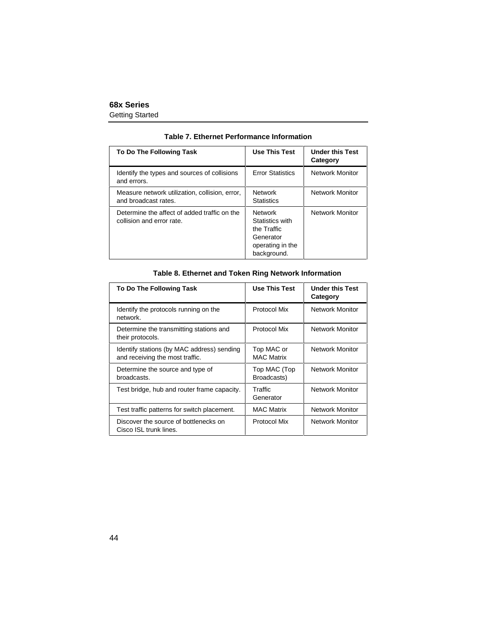|  |  | Table 7. Ethernet Performance Information |  |
|--|--|-------------------------------------------|--|
|--|--|-------------------------------------------|--|

<span id="page-51-0"></span>

| To Do The Following Task                                                  | <b>Use This Test</b>                                                                             | <b>Under this Test</b><br>Category |
|---------------------------------------------------------------------------|--------------------------------------------------------------------------------------------------|------------------------------------|
| Identify the types and sources of collisions<br>and errors.               | <b>Frror Statistics</b>                                                                          | Network Monitor                    |
| Measure network utilization, collision, error,<br>and broadcast rates.    | <b>Network</b><br><b>Statistics</b>                                                              | <b>Network Monitor</b>             |
| Determine the affect of added traffic on the<br>collision and error rate. | <b>Network</b><br>Statistics with<br>the Traffic<br>Generator<br>operating in the<br>background. | Network Monitor                    |

#### **Table 8. Ethernet and Token Ring Network Information**

| To Do The Following Task                                                      | <b>Use This Test</b>            | <b>Under this Test</b><br>Category |
|-------------------------------------------------------------------------------|---------------------------------|------------------------------------|
| Identify the protocols running on the<br>network.                             | Protocol Mix                    | Network Monitor                    |
| Determine the transmitting stations and<br>their protocols.                   | Protocol Mix                    | <b>Network Monitor</b>             |
| Identify stations (by MAC address) sending<br>and receiving the most traffic. | Top MAC or<br><b>MAC Matrix</b> | <b>Network Monitor</b>             |
| Determine the source and type of<br>broadcasts.                               | Top MAC (Top<br>Broadcasts)     | <b>Network Monitor</b>             |
| Test bridge, hub and router frame capacity.                                   | Traffic<br>Generator            | <b>Network Monitor</b>             |
| Test traffic patterns for switch placement.                                   | <b>MAC Matrix</b>               | <b>Network Monitor</b>             |
| Discover the source of bottlenecks on<br>Cisco ISL trunk lines.               | Protocol Mix                    | Network Monitor                    |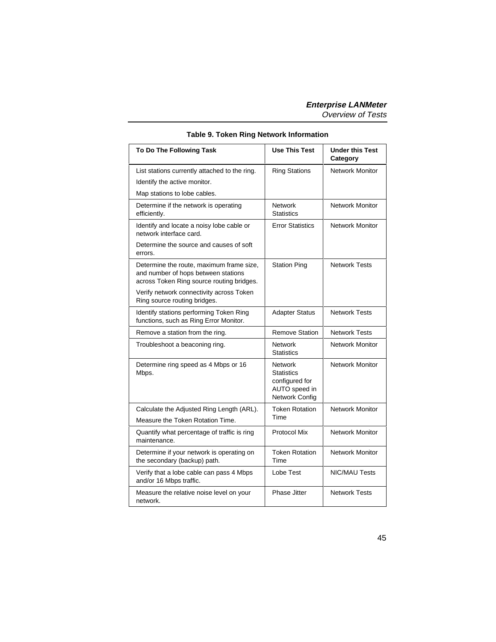<span id="page-52-0"></span>

| To Do The Following Task                                                                                                     | <b>Use This Test</b>                                                              | <b>Under this Test</b><br>Category |
|------------------------------------------------------------------------------------------------------------------------------|-----------------------------------------------------------------------------------|------------------------------------|
| List stations currently attached to the ring.                                                                                | <b>Ring Stations</b>                                                              | <b>Network Monitor</b>             |
| Identify the active monitor.                                                                                                 |                                                                                   |                                    |
| Map stations to lobe cables.                                                                                                 |                                                                                   |                                    |
| Determine if the network is operating<br>efficiently.                                                                        | <b>Network</b><br><b>Statistics</b>                                               | Network Monitor                    |
| Identify and locate a noisy lobe cable or<br>network interface card.                                                         | <b>Error Statistics</b>                                                           | <b>Network Monitor</b>             |
| Determine the source and causes of soft<br>errors.                                                                           |                                                                                   |                                    |
| Determine the route, maximum frame size,<br>and number of hops between stations<br>across Token Ring source routing bridges. | <b>Station Ping</b>                                                               | <b>Network Tests</b>               |
| Verify network connectivity across Token<br>Ring source routing bridges.                                                     |                                                                                   |                                    |
| Identify stations performing Token Ring<br>functions, such as Ring Error Monitor.                                            | <b>Adapter Status</b>                                                             | <b>Network Tests</b>               |
| Remove a station from the ring.                                                                                              | Remove Station                                                                    | <b>Network Tests</b>               |
| Troubleshoot a beaconing ring.                                                                                               | <b>Network</b><br><b>Statistics</b>                                               | <b>Network Monitor</b>             |
| Determine ring speed as 4 Mbps or 16<br>Mbps.                                                                                | <b>Network</b><br>Statistics<br>configured for<br>AUTO speed in<br>Network Config | <b>Network Monitor</b>             |
| Calculate the Adjusted Ring Length (ARL).                                                                                    | <b>Token Rotation</b>                                                             | <b>Network Monitor</b>             |
| Measure the Token Rotation Time.                                                                                             | Time                                                                              |                                    |
| Quantify what percentage of traffic is ring<br>maintenance.                                                                  | Protocol Mix                                                                      | <b>Network Monitor</b>             |
| Determine if your network is operating on<br>the secondary (backup) path.                                                    | <b>Token Rotation</b><br>Time                                                     | <b>Network Monitor</b>             |
| Verify that a lobe cable can pass 4 Mbps<br>and/or 16 Mbps traffic.                                                          | Lobe Test                                                                         | <b>NIC/MAU Tests</b>               |
| Measure the relative noise level on your<br>network.                                                                         | Phase Jitter                                                                      | <b>Network Tests</b>               |

#### **Table 9. Token Ring Network Information**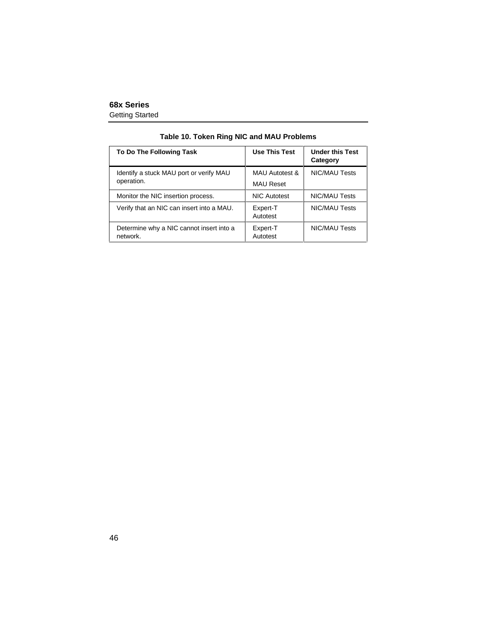<span id="page-53-0"></span>

| To Do The Following Task                             | <b>Use This Test</b>      | <b>Under this Test</b><br>Category |
|------------------------------------------------------|---------------------------|------------------------------------|
| Identify a stuck MAU port or verify MAU              | <b>MAU Autotest &amp;</b> | <b>NIC/MAU Tests</b>               |
| operation.                                           | <b>MAU Reset</b>          |                                    |
| Monitor the NIC insertion process.                   | <b>NIC Autotest</b>       | <b>NIC/MAU Tests</b>               |
| Verify that an NIC can insert into a MAU.            | Expert-T<br>Autotest      | <b>NIC/MAU Tests</b>               |
| Determine why a NIC cannot insert into a<br>network. | Expert-T<br>Autotest      | <b>NIC/MAU Tests</b>               |

#### **Table 10. Token Ring NIC and MAU Problems**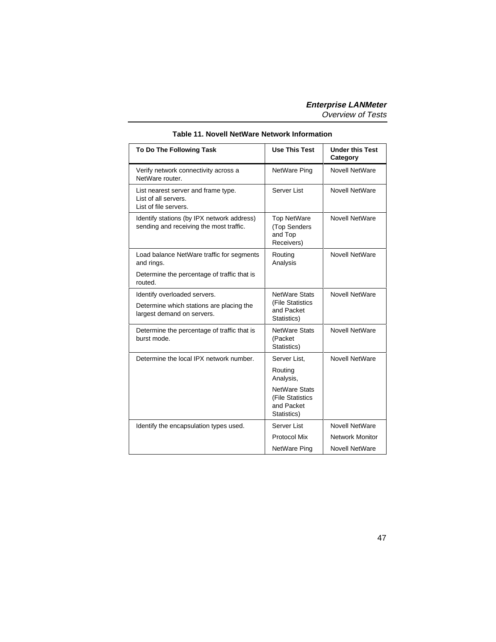<span id="page-54-0"></span>

| To Do The Following Task                                                              | <b>Use This Test</b>                                                  | <b>Under this Test</b><br>Category |
|---------------------------------------------------------------------------------------|-----------------------------------------------------------------------|------------------------------------|
| Verify network connectivity across a<br>NetWare router.                               | NetWare Ping                                                          | <b>Novell NetWare</b>              |
| List nearest server and frame type.<br>List of all servers.<br>List of file servers.  | Server List                                                           | <b>Novell NetWare</b>              |
| Identify stations (by IPX network address)<br>sending and receiving the most traffic. | <b>Top NetWare</b><br>(Top Senders<br>and Top<br>Receivers)           | <b>Novell NetWare</b>              |
| Load balance NetWare traffic for segments<br>and rings.                               | Routing<br>Analysis                                                   | <b>Novell NetWare</b>              |
| Determine the percentage of traffic that is<br>routed.                                |                                                                       |                                    |
| Identify overloaded servers.                                                          | <b>NetWare Stats</b>                                                  | Novell NetWare                     |
| Determine which stations are placing the<br>largest demand on servers.                | (File Statistics<br>and Packet<br>Statistics)                         |                                    |
| Determine the percentage of traffic that is<br>burst mode.                            | <b>NetWare Stats</b><br>(Packet<br>Statistics)                        | <b>Novell NetWare</b>              |
| Determine the local IPX network number.                                               | Server List.                                                          | <b>Novell NetWare</b>              |
|                                                                                       | Routing<br>Analysis,                                                  |                                    |
|                                                                                       | <b>NetWare Stats</b><br>(File Statistics<br>and Packet<br>Statistics) |                                    |
| Identify the encapsulation types used.                                                | Server List                                                           | <b>Novell NetWare</b>              |
|                                                                                       | Protocol Mix                                                          | <b>Network Monitor</b>             |
|                                                                                       | NetWare Ping                                                          | <b>Novell NetWare</b>              |

#### **Table 11. Novell NetWare Network Information**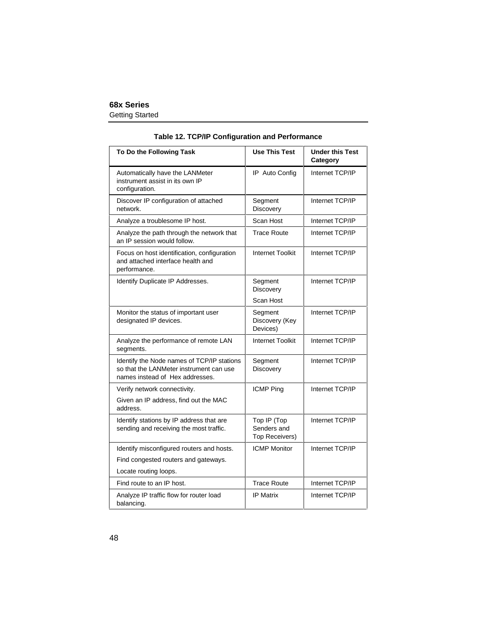| Table 12. TCP/IP Configuration and Performance |  |  |  |
|------------------------------------------------|--|--|--|
|------------------------------------------------|--|--|--|

<span id="page-55-0"></span>

| To Do the Following Task                                                                                                 | <b>Use This Test</b>                         | <b>Under this Test</b><br>Category |
|--------------------------------------------------------------------------------------------------------------------------|----------------------------------------------|------------------------------------|
| Automatically have the LANMeter<br>instrument assist in its own IP<br>configuration.                                     | IP Auto Config                               | Internet TCP/IP                    |
| Discover IP configuration of attached<br>network.                                                                        | Segment<br>Discovery                         | Internet TCP/IP                    |
| Analyze a troublesome IP host.                                                                                           | Scan Host                                    | Internet TCP/IP                    |
| Analyze the path through the network that<br>an IP session would follow.                                                 | <b>Trace Route</b>                           | Internet TCP/IP                    |
| Focus on host identification, configuration<br>and attached interface health and<br>performance.                         | <b>Internet Toolkit</b>                      | Internet TCP/IP                    |
| Identify Duplicate IP Addresses.                                                                                         | Segment<br>Discovery                         | Internet TCP/IP                    |
|                                                                                                                          | Scan Host                                    |                                    |
| Monitor the status of important user<br>designated IP devices.                                                           | Segment<br>Discovery (Key<br>Devices)        | Internet TCP/IP                    |
| Analyze the performance of remote LAN<br>segments.                                                                       | <b>Internet Toolkit</b>                      | Internet TCP/IP                    |
| Identify the Node names of TCP/IP stations<br>so that the LANMeter instrument can use<br>names instead of Hex addresses. | Segment<br>Discovery                         | Internet TCP/IP                    |
| Verify network connectivity.                                                                                             | <b>ICMP Ping</b>                             | Internet TCP/IP                    |
| Given an IP address, find out the MAC<br>address.                                                                        |                                              |                                    |
| Identify stations by IP address that are<br>sending and receiving the most traffic.                                      | Top IP (Top<br>Senders and<br>Top Receivers) | Internet TCP/IP                    |
| Identify misconfigured routers and hosts.                                                                                | <b>ICMP Monitor</b>                          | Internet TCP/IP                    |
| Find congested routers and gateways.                                                                                     |                                              |                                    |
| Locate routing loops.                                                                                                    |                                              |                                    |
| Find route to an IP host.                                                                                                | <b>Trace Route</b>                           | Internet TCP/IP                    |
| Analyze IP traffic flow for router load<br>balancing.                                                                    | <b>IP Matrix</b>                             | Internet TCP/IP                    |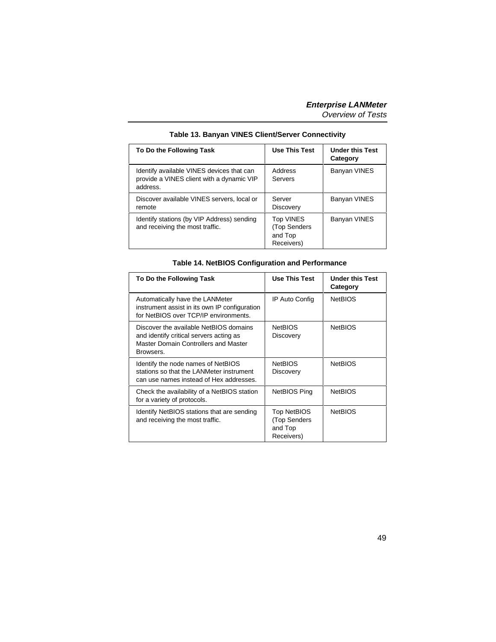<span id="page-56-0"></span>

| To Do the Following Task                                                                           | <b>Use This Test</b>                               | <b>Under this Test</b><br>Category |
|----------------------------------------------------------------------------------------------------|----------------------------------------------------|------------------------------------|
| Identify available VINES devices that can<br>provide a VINES client with a dynamic VIP<br>address. | Address<br>Servers                                 | Banyan VINES                       |
| Discover available VINES servers, local or<br>remote                                               | Server<br>Discovery                                | Banyan VINES                       |
| Identify stations (by VIP Address) sending<br>and receiving the most traffic.                      | Top VINES<br>(Top Senders<br>and Top<br>Receivers) | Banyan VINES                       |

#### **Table 13. Banyan VINES Client/Server Connectivity**

#### **Table 14. NetBIOS Configuration and Performance**

| To Do the Following Task                                                                                                               | <b>Use This Test</b>                                 | <b>Under this Test</b><br>Category |
|----------------------------------------------------------------------------------------------------------------------------------------|------------------------------------------------------|------------------------------------|
| Automatically have the LANMeter<br>instrument assist in its own IP configuration<br>for NetBIOS over TCP/IP environments.              | IP Auto Config                                       | <b>NetBIOS</b>                     |
| Discover the available NetBIOS domains<br>and identify critical servers acting as<br>Master Domain Controllers and Master<br>Browsers. | <b>NetBIOS</b><br>Discovery                          | <b>NetBIOS</b>                     |
| Identify the node names of NetBIOS<br>stations so that the LANMeter instrument<br>can use names instead of Hex addresses.              | <b>NetBIOS</b><br>Discovery                          | <b>NetBIOS</b>                     |
| Check the availability of a NetBIOS station<br>for a variety of protocols.                                                             | NetBIOS Ping                                         | <b>NetBIOS</b>                     |
| Identify NetBIOS stations that are sending<br>and receiving the most traffic.                                                          | Top NetBIOS<br>(Top Senders<br>and Top<br>Receivers) | <b>NetBIOS</b>                     |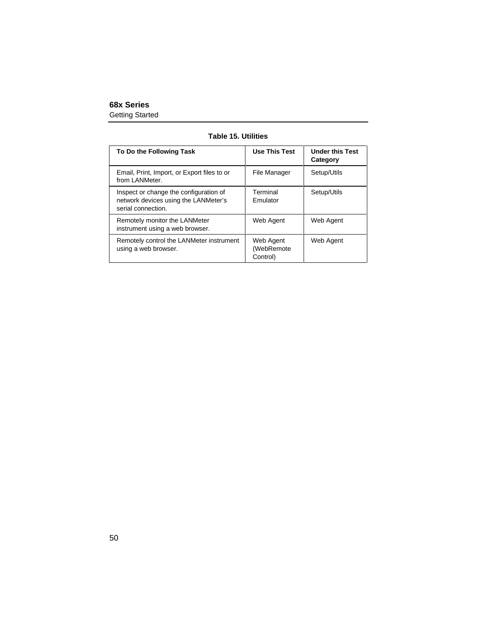|  |  | <b>Table 15. Utilities</b> |
|--|--|----------------------------|
|--|--|----------------------------|

<span id="page-57-0"></span>

| To Do the Following Task                                                                             | <b>Use This Test</b>                | <b>Under this Test</b><br>Category |
|------------------------------------------------------------------------------------------------------|-------------------------------------|------------------------------------|
| Email, Print, Import, or Export files to or<br>from LANMeter.                                        | File Manager                        | Setup/Utils                        |
| Inspect or change the configuration of<br>network devices using the LANMeter's<br>serial connection. | Terminal<br>Emulator                | Setup/Utils                        |
| Remotely monitor the LANMeter<br>instrument using a web browser.                                     | Web Agent                           | Web Agent                          |
| Remotely control the LANMeter instrument<br>using a web browser.                                     | Web Agent<br>(WebRemote<br>Control) | Web Agent                          |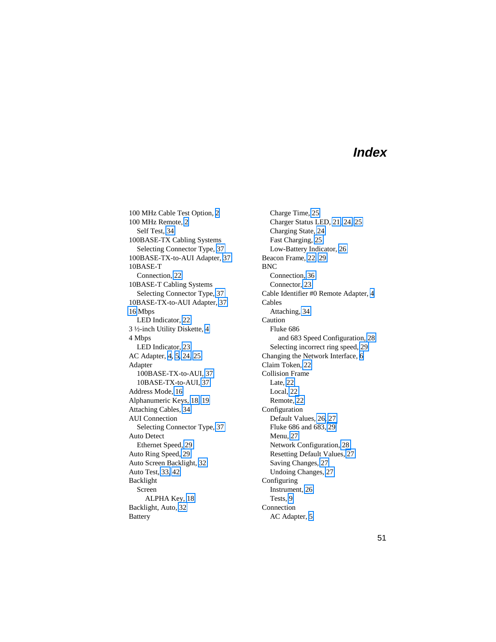# **Index**

<span id="page-58-0"></span>100 MHz Cable Test Option, [2](#page-9-0) 100 MHz Remote, [2](#page-9-0) Self Test, [34](#page-41-0) 100BASE-TX Cabling Systems Selecting Connector Type, [37](#page-44-0) 100BASE-TX-to-AUI Adapter, [37](#page-44-0) 10BASE-T Connection, [22](#page-29-0) 10BASE-T Cabling Systems Selecting Connector Type, [37](#page-44-0) 10BASE-TX-to-AUI Adapter, [37](#page-44-0) [16](#page-23-0) Mbps LED Indicator, [22](#page-29-0) 3 ½-inch Utility Diskette, [4](#page-11-0) 4 Mbps LED Indicator, [23](#page-30-0) AC Adapter, [4,](#page-11-0) [5,](#page-12-0) [24,](#page-31-0) [25](#page-32-0) Adapter 100BASE-TX-to-AUI, [37](#page-44-0) 10BASE-TX-to-AUI, [37](#page-44-0) Address Mode, [16](#page-23-0) Alphanumeric Keys, [18,](#page-25-0) [19](#page-26-0) Attaching Cables, [34](#page-41-0) AUI Connection Selecting Connector Type, [37](#page-44-0) Auto Detect Ethernet Speed, [29](#page-36-0) Auto Ring Speed, [29](#page-36-0) Auto Screen Backlight, [32](#page-39-0) Auto Test, [33,](#page-40-0) [42](#page-49-0) Backlight Screen ALPHA Key, [18](#page-25-0) Backlight, Auto, [32](#page-39-0) **Battery** 

Charge Time, [25](#page-32-0) Charger Status LED, [21,](#page-28-0) [24,](#page-31-0) [25](#page-32-0) Charging State, [24](#page-31-0) Fast Charging, [25](#page-32-0) Low-Battery Indicator, [26](#page-33-0) Beacon Frame, [22,](#page-29-0) [29](#page-36-0) BNC Connection, [36](#page-43-0) Connector, [23](#page-30-0) Cable Identifier #0 Remote Adapter, [4](#page-11-0) Cables Attaching, [34](#page-41-0) Caution Fluke 686 and 683 Speed Configuration, [28](#page-35-0) Selecting incorrect ring speed, [29](#page-36-0) Changing the Network Interface, [6](#page-13-0) Claim Token, [22](#page-29-0) Collision Frame Late, [22](#page-29-0) Local, [22](#page-29-0) Remote, [22](#page-29-0) Configuration Default Values, [26,](#page-33-0) [27](#page-34-0) Fluke 686 and 683, [29](#page-36-0) Menu, [27](#page-34-0) Network Configuration, [28](#page-35-0) Resetting Default Values, [27](#page-34-0) Saving Changes, [27](#page-34-0) Undoing Changes, [27](#page-34-0) Configuring Instrument, [26](#page-33-0) Tests, [9](#page-16-0) Connection AC Adapter, [5](#page-12-0)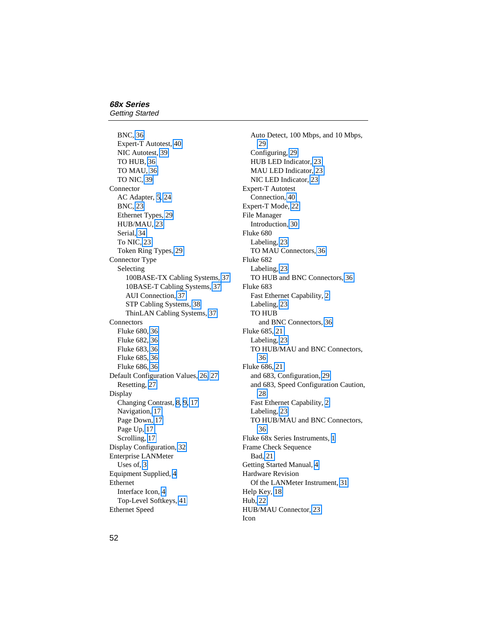BNC, [36](#page-43-0) Expert-T Autotest, [40](#page-47-0) NIC Autotest, [39](#page-46-0) TO HUB, [36](#page-43-0) TO MAU, [36](#page-43-0) TO NIC, [39](#page-46-0) Connector AC Adapter, [5,](#page-12-0) [24](#page-31-0) BNC, [23](#page-30-0) Ethernet Types, [29](#page-36-0) HUB/MAU, [23](#page-30-0) Serial, [34](#page-41-0) To NIC, [23](#page-30-0) Token Ring Types, [29](#page-36-0) Connector Type Selecting 100BASE-TX Cabling Systems, [37](#page-44-0) 10BASE-T Cabling Systems, [37](#page-44-0) AUI Connection, [37](#page-44-0) STP Cabling Systems, [38](#page-45-0) ThinLAN Cabling Systems, [37](#page-44-0) **Connectors** Fluke 680, [36](#page-43-0) Fluke 682, [36](#page-43-0) Fluke 683, [36](#page-43-0) Fluke 685, [36](#page-43-0) Fluke 686, [36](#page-43-0) Default Configuration Values, [26,](#page-33-0) [27](#page-34-0) Resetting, [27](#page-34-0) Display Changing Contrast, [8,](#page-15-0) [9,](#page-16-0) [17](#page-24-0) Navigation, [17](#page-24-0) Page Down, [17](#page-24-0) Page Up, [17](#page-24-0) Scrolling, [17](#page-24-0) Display Configuration, [32](#page-39-0) Enterprise LANMeter Uses of, 3 Equipment Supplied, [4](#page-11-0) Ethernet Interface Icon, [4](#page-11-0) Top-Level Softkeys, [41](#page-48-0) Ethernet Speed

Auto Detect, 100 Mbps, and 10 Mbps, [29](#page-36-0) Configuring, [29](#page-36-0) HUB LED Indicator, [23](#page-30-0) MAU LED Indicator, [23](#page-30-0) NIC LED Indicator, [23](#page-30-0) Expert-T Autotest Connection, [40](#page-47-0) Expert-T Mode, [22](#page-29-0) File Manager Introduction, [30](#page-37-0) Fluke 680 Labeling, [23](#page-30-0) TO MAU Connectors, [36](#page-43-0) Fluke 682 Labeling, [23](#page-30-0) TO HUB and BNC Connectors, [36](#page-43-0) Fluke 683 Fast Ethernet Capability, [2](#page-9-0) Labeling, [23](#page-30-0) TO HUB and BNC Connectors, [36](#page-43-0) Fluke 685, [21](#page-28-0) Labeling, [23](#page-30-0) TO HUB/MAU and BNC Connectors, [36](#page-43-0) Fluke 686, [21](#page-28-0) and 683, Configuration, [29](#page-36-0) and 683, Speed Configuration Caution, [28](#page-35-0) Fast Ethernet Capability, [2](#page-9-0) Labeling, [23](#page-30-0) TO HUB/MAU and BNC Connectors, [36](#page-43-0) Fluke 68x Series Instruments, [1](#page-8-0) Frame Check Sequence Bad, [21](#page-28-0) Getting Started Manual, [4](#page-11-0) Hardware Revision Of the LANMeter Instrument, [31](#page-38-0) Help Key, [18](#page-25-0) Hub, [22](#page-29-0) HUB/MAU Connector, [23](#page-30-0) Icon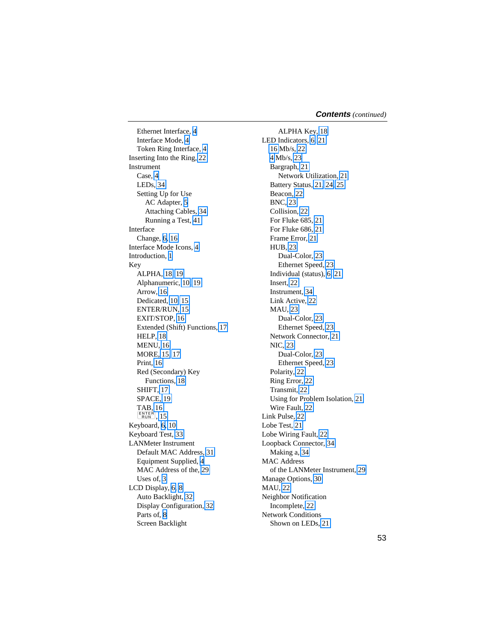Ethernet Interface, [4](#page-11-0) Interface Mode, [4](#page-11-0) Token Ring Interface, [4](#page-11-0) Inserting Into the Ring, [22](#page-29-0) **Instrument** Case, [4](#page-11-0) LEDs, [34](#page-41-0) Setting Up for Use AC Adapter, [5](#page-12-0) Attaching Cables, [34](#page-41-0) Running a Test, [41](#page-48-0) Interface Change, [6,](#page-13-0) [16](#page-23-0) Interface Mode Icons, [4](#page-11-0) Introduction, [1](#page-8-0) Key ALPHA, [18,](#page-25-0) [19](#page-26-0) Alphanumeric, [10,](#page-17-0) [19](#page-26-0) Arrow, [16](#page-23-0) Dedicated, [10,](#page-17-0) [15](#page-22-0) ENTER/RUN, [15](#page-22-0) EXIT/STOP, [16](#page-23-0) Extended (Shift) Functions, [17](#page-24-0) HELP, [18](#page-25-0) MENU, [16](#page-23-0) MORE, [15,](#page-22-0) [17](#page-24-0) Print, [16](#page-23-0) Red (Secondary) Key Functions, [18](#page-25-0) SHIFT, [17](#page-24-0) SPACE, [19](#page-26-0) TAB, [16](#page-23-0)  $\sqrt{\frac{\text{ENTER}}{\text{RUN}}}$ , [15](#page-22-0) Keyboard, [6,](#page-13-0) [10](#page-17-0) Keyboard Test, [33](#page-40-0) LANMeter Instrument Default MAC Address, [31](#page-38-0) Equipment Supplied, [4](#page-11-0) MAC Address of the, [29](#page-36-0) Uses of, 3 LCD Display, [6,](#page-13-0) [8](#page-15-0) Auto Backlight, [32](#page-39-0) Display Configuration, [32](#page-39-0) Parts of, [8](#page-15-0) Screen Backlight

ALPHA Key, [18](#page-25-0) LED Indicators, [6,](#page-13-0) [21](#page-28-0) [16](#page-23-0) Mb/s, [22](#page-29-0) [4](#page-11-0) Mb/s, [23](#page-30-0) Bargraph, [21](#page-28-0) Network Utilization, [21](#page-28-0) Battery Status, [21,](#page-28-0) [24,](#page-31-0) [25](#page-32-0) Beacon, [22](#page-29-0) BNC, [23](#page-30-0) Collision, [22](#page-29-0) For Fluke 685, [21](#page-28-0) For Fluke 686, [21](#page-28-0) Frame Error, [21](#page-28-0) HUB, [23](#page-30-0) Dual-Color, [23](#page-30-0) Ethernet Speed, [23](#page-30-0) Individual (status), [6,](#page-13-0) [21](#page-28-0) Insert, [22](#page-29-0) Instrument, [34](#page-41-0) Link Active, [22](#page-29-0) MAU, [23](#page-30-0) Dual-Color, [23](#page-30-0) Ethernet Speed, [23](#page-30-0) Network Connector, [21](#page-28-0) NIC, [23](#page-30-0) Dual-Color, [23](#page-30-0) Ethernet Speed, [23](#page-30-0) Polarity, [22](#page-29-0) Ring Error, [22](#page-29-0) Transmit, [22](#page-29-0) Using for Problem Isolation, [21](#page-28-0) Wire Fault, [22](#page-29-0) Link Pulse, [22](#page-29-0) Lobe Test, [21](#page-28-0) Lobe Wiring Fault, [22](#page-29-0) Loopback Connector, [34](#page-41-0) Making a, [34](#page-41-0) MAC Address of the LANMeter Instrument, [29](#page-36-0) Manage Options, [30](#page-37-0) MAU, [22](#page-29-0) Neighbor Notification Incomplete, [22](#page-29-0) Network Conditions Shown on LEDs, [21](#page-28-0)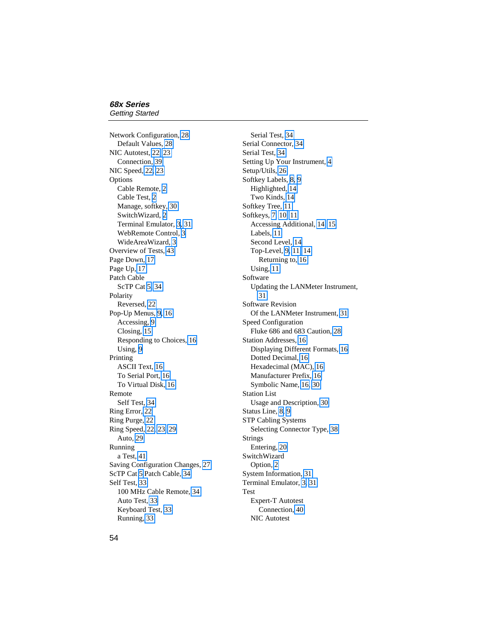Network Configuration, [28](#page-35-0) Default Values, [28](#page-35-0) NIC Autotest, [22,](#page-29-0) [23](#page-30-0) Connection, [39](#page-46-0) NIC Speed, [22,](#page-29-0) [23](#page-30-0) Options Cable Remote, [2](#page-9-0) Cable Test, [2](#page-9-0) Manage, softkey, [30](#page-37-0) SwitchWizard, [2](#page-9-0) Terminal Emulator, 3, [31](#page-38-0) WebRemote Control, 3 WideAreaWizard, 3 Overview of Tests, [43](#page-50-0) Page Down, [17](#page-24-0) Page Up, [17](#page-24-0) Patch Cable ScTP Cat [5,](#page-12-0) [34](#page-41-0) Polarity Reversed, [22](#page-29-0) Pop-Up Menus, [9,](#page-16-0) [16](#page-23-0) Accessing, [9](#page-16-0) Closing, [15](#page-22-0) Responding to Choices, [16](#page-23-0) Using, [9](#page-16-0) Printing ASCII Text, [16](#page-23-0) To Serial Port, [16](#page-23-0) To Virtual Disk, [16](#page-23-0) Remote Self Test, [34](#page-41-0) Ring Error, [22](#page-29-0) Ring Purge, [22](#page-29-0) Ring Speed, [22,](#page-29-0) [23,](#page-30-0) [29](#page-36-0) Auto, [29](#page-36-0) Running a Test, [41](#page-48-0) Saving Configuration Changes, [27](#page-34-0) ScTP Cat [5](#page-12-0) Patch Cable, [34](#page-41-0) Self Test, [33](#page-40-0) 100 MHz Cable Remote, [34](#page-41-0) Auto Test, [33](#page-40-0) Keyboard Test, [33](#page-40-0) Running, [33](#page-40-0)

Serial Test, [34](#page-41-0) Serial Connector, [34](#page-41-0) Serial Test, [34](#page-41-0) Setting Up Your Instrument, [4](#page-11-0) Setup/Utils, [26](#page-33-0) Softkey Labels, [8,](#page-15-0) [9](#page-16-0) Highlighted, [14](#page-21-0) Two Kinds, [14](#page-21-0) Softkey Tree, [11](#page-18-0) Softkeys, [7,](#page-14-0) [10,](#page-17-0) [11](#page-18-0) Accessing Additional, [14,](#page-21-0) [15](#page-22-0) Labels, [11](#page-18-0) Second Level, [14](#page-21-0) Top-Level, [9,](#page-16-0) [11,](#page-18-0) [14](#page-21-0) Returning to, [16](#page-23-0) Using, [11](#page-18-0) Software Updating the LANMeter Instrument, [31](#page-38-0) Software Revision Of the LANMeter Instrument, [31](#page-38-0) Speed Configuration Fluke 686 and 683 Caution, [28](#page-35-0) Station Addresses, [16](#page-23-0) Displaying Different Formats, [16](#page-23-0) Dotted Decimal, [16](#page-23-0) Hexadecimal (MAC), [16](#page-23-0) Manufacturer Prefix, [16](#page-23-0) Symbolic Name, [16,](#page-23-0) [30](#page-37-0) Station List Usage and Description, [30](#page-37-0) Status Line, [8,](#page-15-0) [9](#page-16-0) STP Cabling Systems Selecting Connector Type, [38](#page-45-0) Strings Entering, [20](#page-27-0) SwitchWizard Option, [2](#page-9-0) System Information, [31](#page-38-0) Terminal Emulator, 3, [31](#page-38-0) Test Expert-T Autotest Connection, [40](#page-47-0) NIC Autotest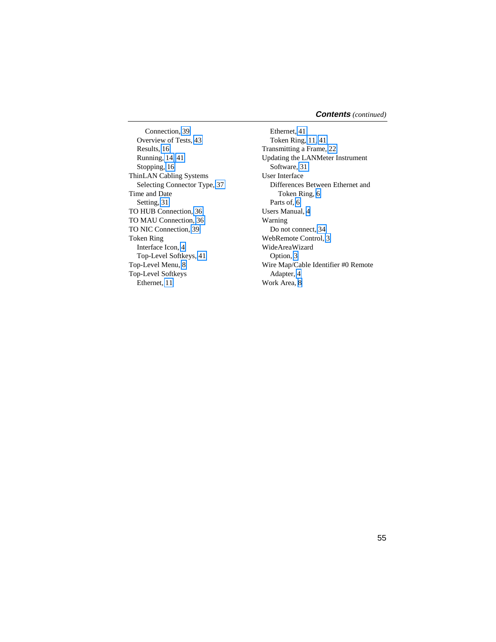Connection, [39](#page-46-0) Overview of Tests, [43](#page-50-0) Results, [16](#page-23-0) Running, [14,](#page-21-0) [41](#page-48-0) Stopping, [16](#page-23-0) ThinLAN Cabling Systems Selecting Connector Type, [37](#page-44-0) Time and Date Setting, [31](#page-38-0) TO HUB Connection, [36](#page-43-0) TO MAU Connection, [36](#page-43-0) TO NIC Connection, [39](#page-46-0) Token Ring Interface Icon, [4](#page-11-0) Top-Level Softkeys, [41](#page-48-0) Top-Level Menu, [8](#page-15-0) Top-Level Softkeys Ethernet, [11](#page-18-0)

Ethernet, [41](#page-48-0) Token Ring, [11,](#page-18-0) [41](#page-48-0) Transmitting a Frame, [22](#page-29-0) Updating the LANMeter Instrument Software, [31](#page-38-0) User Interface Differences Between Ethernet and Token Ring, [6](#page-13-0) Parts of, [6](#page-13-0) Users Manual, [4](#page-11-0) Warning Do not connect, [34](#page-41-0) WebRemote Control, [3](#page-10-0) WideAreaWizard Option, [3](#page-10-0) Wire Map/Cable Identifier #0 Remote Adapter, [4](#page-11-0) Work Area, [8](#page-15-0)